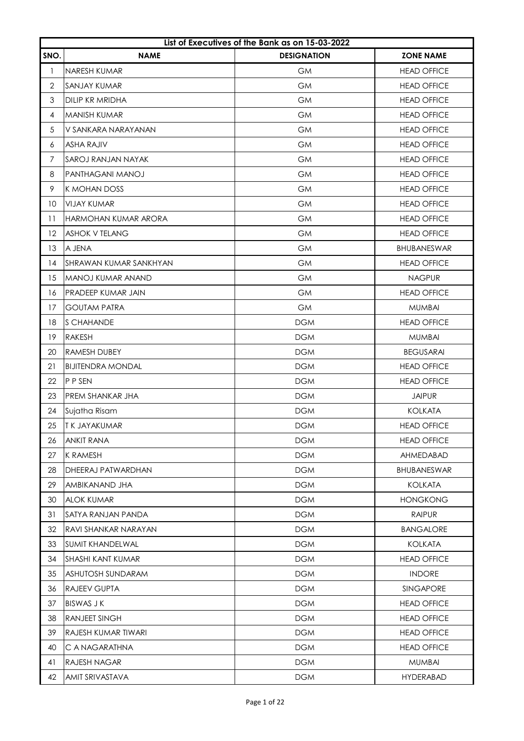|                | List of Executives of the Bank as on 15-03-2022 |                    |                    |  |
|----------------|-------------------------------------------------|--------------------|--------------------|--|
| SNO.           | <b>NAME</b>                                     | <b>DESIGNATION</b> | <b>ZONE NAME</b>   |  |
| 1              | NARESH KUMAR                                    | <b>GM</b>          | <b>HEAD OFFICE</b> |  |
| $\overline{2}$ | SANJAY KUMAR                                    | <b>GM</b>          | <b>HEAD OFFICE</b> |  |
| 3              | <b>DILIP KR MRIDHA</b>                          | <b>GM</b>          | <b>HEAD OFFICE</b> |  |
| 4              | MANISH KUMAR                                    | <b>GM</b>          | <b>HEAD OFFICE</b> |  |
| 5              | V SANKARA NARAYANAN                             | <b>GM</b>          | <b>HEAD OFFICE</b> |  |
| 6              | ASHA RAJIV                                      | <b>GM</b>          | <b>HEAD OFFICE</b> |  |
| $\overline{7}$ | SAROJ RANJAN NAYAK                              | <b>GM</b>          | <b>HEAD OFFICE</b> |  |
| 8              | PANTHAGANI MANOJ                                | <b>GM</b>          | <b>HEAD OFFICE</b> |  |
| 9              | K MOHAN DOSS                                    | <b>GM</b>          | <b>HEAD OFFICE</b> |  |
| 10             | <b>VIJAY KUMAR</b>                              | <b>GM</b>          | <b>HEAD OFFICE</b> |  |
| 11             | HARMOHAN KUMAR ARORA                            | <b>GM</b>          | <b>HEAD OFFICE</b> |  |
| 12             | <b>ASHOK V TELANG</b>                           | <b>GM</b>          | <b>HEAD OFFICE</b> |  |
| 13             | A JENA                                          | <b>GM</b>          | <b>BHUBANESWAR</b> |  |
| 14             | SHRAWAN KUMAR SANKHYAN                          | <b>GM</b>          | <b>HEAD OFFICE</b> |  |
| 15             | MANOJ KUMAR ANAND                               | <b>GM</b>          | <b>NAGPUR</b>      |  |
| 16             | <b>PRADEEP KUMAR JAIN</b>                       | <b>GM</b>          | <b>HEAD OFFICE</b> |  |
| 17             | <b>GOUTAM PATRA</b>                             | <b>GM</b>          | <b>MUMBAI</b>      |  |
| 18             | <b>S CHAHANDE</b>                               | <b>DGM</b>         | <b>HEAD OFFICE</b> |  |
| 19             | <b>RAKESH</b>                                   | <b>DGM</b>         | <b>MUMBAI</b>      |  |
| 20             | <b>RAMESH DUBEY</b>                             | <b>DGM</b>         | <b>BEGUSARAI</b>   |  |
| 21             | <b>BIJITENDRA MONDAL</b>                        | <b>DGM</b>         | <b>HEAD OFFICE</b> |  |
| 22             | P P SEN                                         | <b>DGM</b>         | <b>HEAD OFFICE</b> |  |
| 23             | <b>PREM SHANKAR JHA</b>                         | <b>DGM</b>         | <b>JAIPUR</b>      |  |
| 24             | Sujatha Risam                                   | <b>DGM</b>         | <b>KOLKATA</b>     |  |
| 25             | T K JAYAKUMAR                                   | <b>DGM</b>         | <b>HEAD OFFICE</b> |  |
| 26             | <b>ANKIT RANA</b>                               | <b>DGM</b>         | <b>HEAD OFFICE</b> |  |
| 27             | K RAMESH                                        | <b>DGM</b>         | <b>AHMEDABAD</b>   |  |
| 28             | DHEERAJ PATWARDHAN                              | <b>DGM</b>         | <b>BHUBANESWAR</b> |  |
| 29             | AMBIKANAND JHA                                  | <b>DGM</b>         | <b>KOLKATA</b>     |  |
| 30             | <b>ALOK KUMAR</b>                               | <b>DGM</b>         | <b>HONGKONG</b>    |  |
| 31             | SATYA RANJAN PANDA                              | <b>DGM</b>         | <b>RAIPUR</b>      |  |
| 32             | RAVI SHANKAR NARAYAN                            | <b>DGM</b>         | <b>BANGALORE</b>   |  |
| 33             | <b>SUMIT KHANDELWAL</b>                         | <b>DGM</b>         | <b>KOLKATA</b>     |  |
| 34             | <b>SHASHI KANT KUMAR</b>                        | <b>DGM</b>         | <b>HEAD OFFICE</b> |  |
| 35             | ASHUTOSH SUNDARAM                               | <b>DGM</b>         | <b>INDORE</b>      |  |
| 36             | <b>RAJEEV GUPTA</b>                             | <b>DGM</b>         | SINGAPORE          |  |
| 37             | <b>BISWAS J K</b>                               | <b>DGM</b>         | <b>HEAD OFFICE</b> |  |
| 38             | <b>RANJEET SINGH</b>                            | <b>DGM</b>         | <b>HEAD OFFICE</b> |  |
| 39             | RAJESH KUMAR TIWARI                             | <b>DGM</b>         | <b>HEAD OFFICE</b> |  |
| 40             | C A NAGARATHNA                                  | <b>DGM</b>         | <b>HEAD OFFICE</b> |  |
| 41             | <b>RAJESH NAGAR</b>                             | <b>DGM</b>         | <b>MUMBAI</b>      |  |
| 42             | AMIT SRIVASTAVA                                 | <b>DGM</b>         | <b>HYDERABAD</b>   |  |
|                |                                                 |                    |                    |  |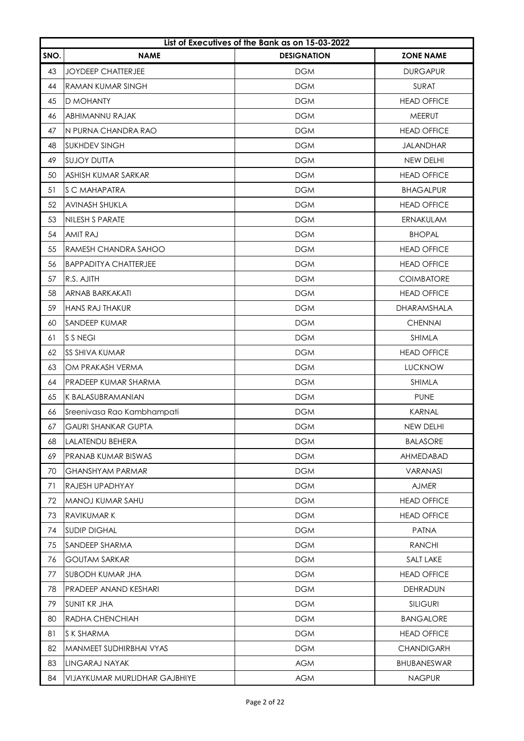|      | List of Executives of the Bank as on 15-03-2022 |                    |                    |  |
|------|-------------------------------------------------|--------------------|--------------------|--|
| SNO. | <b>NAME</b>                                     | <b>DESIGNATION</b> | <b>ZONE NAME</b>   |  |
| 43   | <b>JOYDEEP CHATTERJEE</b>                       | <b>DGM</b>         | <b>DURGAPUR</b>    |  |
| 44   | <b>RAMAN KUMAR SINGH</b>                        | <b>DGM</b>         | <b>SURAT</b>       |  |
| 45   | <b>D MOHANTY</b>                                | <b>DGM</b>         | <b>HEAD OFFICE</b> |  |
| 46   | ABHIMANNU RAJAK                                 | <b>DGM</b>         | MEERUT             |  |
| 47   | N PURNA CHANDRA RAO                             | <b>DGM</b>         | <b>HEAD OFFICE</b> |  |
| 48   | <b>SUKHDEV SINGH</b>                            | <b>DGM</b>         | <b>JALANDHAR</b>   |  |
| 49   | <b>SUJOY DUTTA</b>                              | <b>DGM</b>         | NEW DELHI          |  |
| 50   | ASHISH KUMAR SARKAR                             | <b>DGM</b>         | <b>HEAD OFFICE</b> |  |
| 51   | S C MAHAPATRA                                   | <b>DGM</b>         | <b>BHAGALPUR</b>   |  |
| 52   | <b>AVINASH SHUKLA</b>                           | <b>DGM</b>         | <b>HEAD OFFICE</b> |  |
| 53   | <b>NILESH S PARATE</b>                          | <b>DGM</b>         | ERNAKULAM          |  |
| 54   | <b>AMIT RAJ</b>                                 | <b>DGM</b>         | <b>BHOPAL</b>      |  |
| 55   | RAMESH CHANDRA SAHOO                            | <b>DGM</b>         | <b>HEAD OFFICE</b> |  |
| 56   | BAPPADITYA CHATTERJEE                           | <b>DGM</b>         | <b>HEAD OFFICE</b> |  |
| 57   | R.S. AJITH                                      | <b>DGM</b>         | <b>COIMBATORE</b>  |  |
| 58   | <b>ARNAB BARKAKATI</b>                          | <b>DGM</b>         | <b>HEAD OFFICE</b> |  |
| 59   | <b>HANS RAJ THAKUR</b>                          | <b>DGM</b>         | <b>DHARAMSHALA</b> |  |
| 60   | <b>SANDEEP KUMAR</b>                            | <b>DGM</b>         | <b>CHENNAI</b>     |  |
| 61   | S S NEGI                                        | <b>DGM</b>         | <b>SHIMLA</b>      |  |
| 62   | <b>SS SHIVA KUMAR</b>                           | <b>DGM</b>         | <b>HEAD OFFICE</b> |  |
| 63   | OM PRAKASH VERMA                                | <b>DGM</b>         | <b>LUCKNOW</b>     |  |
| 64   | <b>PRADEEP KUMAR SHARMA</b>                     | <b>DGM</b>         | <b>SHIMLA</b>      |  |
| 65   | K BALASUBRAMANIAN                               | <b>DGM</b>         | <b>PUNE</b>        |  |
| 66   | Sreenivasa Rao Kambhampati                      | <b>DGM</b>         | <b>KARNAL</b>      |  |
| 67   | GAURI SHANKAR GUPTA                             | <b>DGM</b>         | NEW DELHI          |  |
| 68   | LALATENDU BEHERA                                | <b>DGM</b>         | <b>BALASORE</b>    |  |
| 69   | <b>PRANAB KUMAR BISWAS</b>                      | <b>DGM</b>         | <b>AHMEDABAD</b>   |  |
| 70   | <b>GHANSHYAM PARMAR</b>                         | <b>DGM</b>         | <b>VARANASI</b>    |  |
| 71   | RAJESH UPADHYAY                                 | <b>DGM</b>         | <b>AJMER</b>       |  |
| 72   | MANOJ KUMAR SAHU                                | <b>DGM</b>         | <b>HEAD OFFICE</b> |  |
| 73   | RAVIKUMAR K                                     | <b>DGM</b>         | <b>HEAD OFFICE</b> |  |
| 74   | <b>SUDIP DIGHAL</b>                             | <b>DGM</b>         | <b>PATNA</b>       |  |
| 75   | SANDEEP SHARMA                                  | <b>DGM</b>         | <b>RANCHI</b>      |  |
| 76   | <b>GOUTAM SARKAR</b>                            | <b>DGM</b>         | SALT LAKE          |  |
| 77   | <b>SUBODH KUMAR JHA</b>                         | <b>DGM</b>         | <b>HEAD OFFICE</b> |  |
| 78   | <b>PRADEEP ANAND KESHARI</b>                    | <b>DGM</b>         | <b>DEHRADUN</b>    |  |
| 79   | <b>SUNIT KR JHA</b>                             | <b>DGM</b>         | <b>SILIGURI</b>    |  |
| 80   | RADHA CHENCHIAH                                 | <b>DGM</b>         | <b>BANGALORE</b>   |  |
| 81   | S K SHARMA                                      | <b>DGM</b>         | <b>HEAD OFFICE</b> |  |
| 82   | <b>MANMEET SUDHIRBHAI VYAS</b>                  | <b>DGM</b>         | <b>CHANDIGARH</b>  |  |
| 83   | LINGARAJ NAYAK                                  | <b>AGM</b>         | <b>BHUBANESWAR</b> |  |
| 84   | VIJAYKUMAR MURLIDHAR GAJBHIYE                   | <b>AGM</b>         | <b>NAGPUR</b>      |  |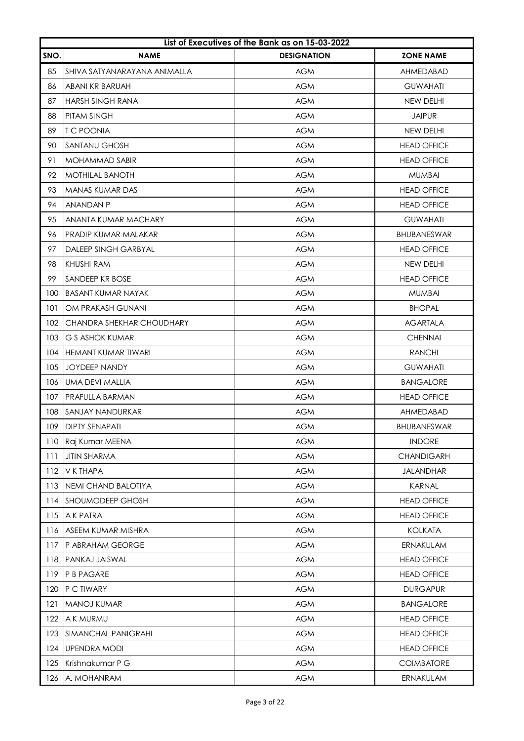|      | List of Executives of the Bank as on 15-03-2022 |                    |                    |  |
|------|-------------------------------------------------|--------------------|--------------------|--|
| SNO. | <b>NAME</b>                                     | <b>DESIGNATION</b> | <b>ZONE NAME</b>   |  |
| 85   | SHIVA SATYANARAYANA ANIMALLA                    | <b>AGM</b>         | <b>AHMEDABAD</b>   |  |
| 86   | ABANI KR BARUAH                                 | <b>AGM</b>         | <b>GUWAHATI</b>    |  |
| 87   | <b>HARSH SINGH RANA</b>                         | <b>AGM</b>         | <b>NEW DELHI</b>   |  |
| 88   | <b>PITAM SINGH</b>                              | <b>AGM</b>         | <b>JAIPUR</b>      |  |
| 89   | <b>TC POONIA</b>                                | <b>AGM</b>         | NEW DELHI          |  |
| 90   | <b>SANTANU GHOSH</b>                            | <b>AGM</b>         | <b>HEAD OFFICE</b> |  |
| 91   | <b>MOHAMMAD SABIR</b>                           | <b>AGM</b>         | <b>HEAD OFFICE</b> |  |
| 92   | <b>MOTHILAL BANOTH</b>                          | <b>AGM</b>         | <b>MUMBAI</b>      |  |
| 93   | MANAS KUMAR DAS                                 | <b>AGM</b>         | <b>HEAD OFFICE</b> |  |
| 94   | ANANDAN P                                       | <b>AGM</b>         | <b>HEAD OFFICE</b> |  |
| 95   | ANANTA KUMAR MACHARY                            | <b>AGM</b>         | <b>GUWAHATI</b>    |  |
| 96   | <b>PRADIP KUMAR MALAKAR</b>                     | <b>AGM</b>         | <b>BHUBANESWAR</b> |  |
| 97   | <b>DALEEP SINGH GARBYAL</b>                     | <b>AGM</b>         | <b>HEAD OFFICE</b> |  |
| 98   | <b>KHUSHI RAM</b>                               | <b>AGM</b>         | NEW DELHI          |  |
| 99   | SANDEEP KR BOSE                                 | <b>AGM</b>         | <b>HEAD OFFICE</b> |  |
| 100  | <b>BASANT KUMAR NAYAK</b>                       | <b>AGM</b>         | <b>MUMBAI</b>      |  |
| 101  | OM PRAKASH GUNANI                               | <b>AGM</b>         | <b>BHOPAL</b>      |  |
| 102  | CHANDRA SHEKHAR CHOUDHARY                       | <b>AGM</b>         | <b>AGARTALA</b>    |  |
| 103  | <b>G S ASHOK KUMAR</b>                          | <b>AGM</b>         | <b>CHENNAI</b>     |  |
| 104  | HEMANT KUMAR TIWARI                             | <b>AGM</b>         | <b>RANCHI</b>      |  |
| 105  | JOYDEEP NANDY                                   | <b>AGM</b>         | <b>GUWAHATI</b>    |  |
| 106  | <b>UMA DEVI MALLIA</b>                          | <b>AGM</b>         | <b>BANGALORE</b>   |  |
| 107  | <b>PRAFULLA BARMAN</b>                          | <b>AGM</b>         | <b>HEAD OFFICE</b> |  |
| 108  | <b>SANJAY NANDURKAR</b>                         | <b>AGM</b>         | AHMEDABAD          |  |
| 109  | <b>DIPTY SENAPATI</b>                           | <b>AGM</b>         | <b>BHUBANESWAR</b> |  |
| 110  | Raj Kumar MEENA                                 | <b>AGM</b>         | <b>INDORE</b>      |  |
| 111  | <b>JITIN SHARMA</b>                             | <b>AGM</b>         | <b>CHANDIGARH</b>  |  |
| 112  | V K THAPA                                       | <b>AGM</b>         | <b>JALANDHAR</b>   |  |
| 113  | NEMI CHAND BALOTIYA                             | <b>AGM</b>         | <b>KARNAL</b>      |  |
| 114  | <b>SHOUMODEEP GHOSH</b>                         | <b>AGM</b>         | <b>HEAD OFFICE</b> |  |
| 115  | A K PATRA                                       | <b>AGM</b>         | <b>HEAD OFFICE</b> |  |
| 116  | ASEEM KUMAR MISHRA                              | <b>AGM</b>         | <b>KOLKATA</b>     |  |
| 117  | P ABRAHAM GEORGE                                | <b>AGM</b>         | ERNAKULAM          |  |
| 118  | <b>PANKAJ JAISWAL</b>                           | <b>AGM</b>         | <b>HEAD OFFICE</b> |  |
| 119  | P B PAGARE                                      | <b>AGM</b>         | <b>HEAD OFFICE</b> |  |
| 120  | P C TIWARY                                      | <b>AGM</b>         | <b>DURGAPUR</b>    |  |
| 121  | <b>MANOJ KUMAR</b>                              | <b>AGM</b>         | <b>BANGALORE</b>   |  |
| 122  | A K MURMU                                       | <b>AGM</b>         | <b>HEAD OFFICE</b> |  |
| 123  | SIMANCHAL PANIGRAHI                             | <b>AGM</b>         | <b>HEAD OFFICE</b> |  |
| 124  | <b>UPENDRA MODI</b>                             | <b>AGM</b>         | <b>HEAD OFFICE</b> |  |
| 125  | Krishnakumar P G                                | <b>AGM</b>         | <b>COIMBATORE</b>  |  |
|      | A. MOHANRAM                                     |                    |                    |  |
| 126  |                                                 | <b>AGM</b>         | ERNAKULAM          |  |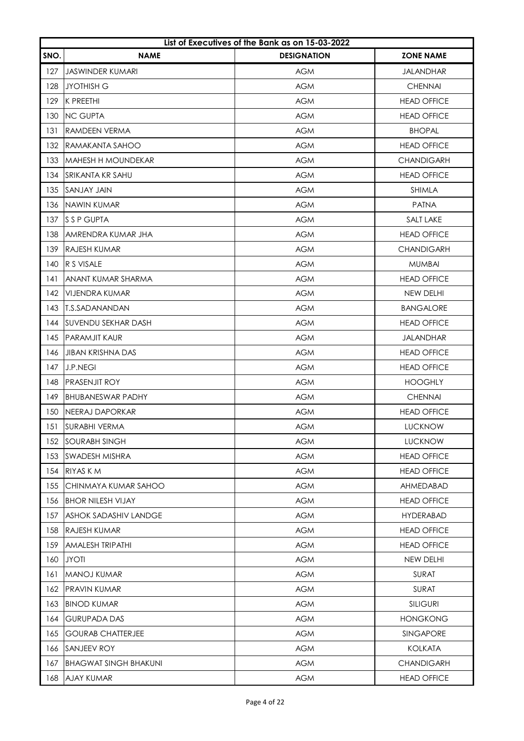|      | List of Executives of the Bank as on 15-03-2022 |                    |                    |  |
|------|-------------------------------------------------|--------------------|--------------------|--|
| SNO. | <b>NAME</b>                                     | <b>DESIGNATION</b> | <b>ZONE NAME</b>   |  |
| 127  | <b>JASWINDER KUMARI</b>                         | <b>AGM</b>         | <b>JALANDHAR</b>   |  |
| 128  | <b>JYOTHISH G</b>                               | <b>AGM</b>         | <b>CHENNAI</b>     |  |
| 129  | <b>K PREETHI</b>                                | <b>AGM</b>         | <b>HEAD OFFICE</b> |  |
| 130  | <b>NC GUPTA</b>                                 | <b>AGM</b>         | <b>HEAD OFFICE</b> |  |
| 131  | <b>RAMDEEN VERMA</b>                            | <b>AGM</b>         | <b>BHOPAL</b>      |  |
| 132  | RAMAKANTA SAHOO                                 | <b>AGM</b>         | <b>HEAD OFFICE</b> |  |
| 133  | MAHESH H MOUNDEKAR                              | <b>AGM</b>         | <b>CHANDIGARH</b>  |  |
| 134  | SRIKANTA KR SAHU                                | <b>AGM</b>         | <b>HEAD OFFICE</b> |  |
| 135  | <b>SANJAY JAIN</b>                              | <b>AGM</b>         | <b>SHIMLA</b>      |  |
| 136  | <b>NAWIN KUMAR</b>                              | <b>AGM</b>         | <b>PATNA</b>       |  |
| 137  | S S P GUPTA                                     | <b>AGM</b>         | SALT LAKE          |  |
| 138  | AMRENDRA KUMAR JHA                              | <b>AGM</b>         | <b>HEAD OFFICE</b> |  |
| 139  | RAJESH KUMAR                                    | <b>AGM</b>         | <b>CHANDIGARH</b>  |  |
| 140  | R S VISALE                                      | <b>AGM</b>         | <b>MUMBAI</b>      |  |
| 141  | ANANT KUMAR SHARMA                              | <b>AGM</b>         | <b>HEAD OFFICE</b> |  |
| 142  | VIJENDRA KUMAR                                  | <b>AGM</b>         | NEW DELHI          |  |
| 143  | <b>IT.S.SADANANDAN</b>                          | <b>AGM</b>         | <b>BANGALORE</b>   |  |
| 144  | <b>SUVENDU SEKHAR DASH</b>                      | <b>AGM</b>         | <b>HEAD OFFICE</b> |  |
|      | 145 PARAMJIT KAUR                               | <b>AGM</b>         | <b>JALANDHAR</b>   |  |
| 146  | <b>JIBAN KRISHNA DAS</b>                        | <b>AGM</b>         | <b>HEAD OFFICE</b> |  |
| 147  | <b>J.P.NEGI</b>                                 | <b>AGM</b>         | <b>HEAD OFFICE</b> |  |
| 148  | <b>PRASENJIT ROY</b>                            | <b>AGM</b>         | <b>HOOGHLY</b>     |  |
| 149  | <b>BHUBANESWAR PADHY</b>                        | <b>AGM</b>         | <b>CHENNAI</b>     |  |
| 150  | <b>NEERAJ DAPORKAR</b>                          | <b>AGM</b>         | <b>HEAD OFFICE</b> |  |
| 151  | <b>SURABHI VERMA</b>                            | <b>AGM</b>         | <b>LUCKNOW</b>     |  |
| 152  | <b>SOURABH SINGH</b>                            | <b>AGM</b>         | <b>LUCKNOW</b>     |  |
| 153  | <b>SWADESH MISHRA</b>                           | <b>AGM</b>         | <b>HEAD OFFICE</b> |  |
| 154  | <b>RIYAS KM</b>                                 | <b>AGM</b>         | <b>HEAD OFFICE</b> |  |
| 155  | CHINMAYA KUMAR SAHOO                            | <b>AGM</b>         | <b>AHMEDABAD</b>   |  |
| 156  | <b>BHOR NILESH VIJAY</b>                        | <b>AGM</b>         | <b>HEAD OFFICE</b> |  |
| 157  | <b>ASHOK SADASHIV LANDGE</b>                    | <b>AGM</b>         | <b>HYDERABAD</b>   |  |
| 158  | <b>RAJESH KUMAR</b>                             | <b>AGM</b>         | <b>HEAD OFFICE</b> |  |
| 159  | AMALESH TRIPATHI                                | <b>AGM</b>         | <b>HEAD OFFICE</b> |  |
| 160  | <b>JYOTI</b>                                    | <b>AGM</b>         | NEW DELHI          |  |
| 161  | <b>MANOJ KUMAR</b>                              | <b>AGM</b>         | <b>SURAT</b>       |  |
| 162  | IPRAVIN KUMAR                                   | <b>AGM</b>         | <b>SURAT</b>       |  |
| 163  | <b>BINOD KUMAR</b>                              | <b>AGM</b>         | <b>SILIGURI</b>    |  |
| 164  | <b>GURUPADA DAS</b>                             | <b>AGM</b>         | <b>HONGKONG</b>    |  |
| 165  | <b>GOURAB CHATTERJEE</b>                        | <b>AGM</b>         | SINGAPORE          |  |
| 166  | SANJEEV ROY                                     | <b>AGM</b>         | <b>KOLKATA</b>     |  |
| 167  | <b>BHAGWAT SINGH BHAKUNI</b>                    | <b>AGM</b>         | CHANDIGARH         |  |
| 168  | AJAY KUMAR                                      | <b>AGM</b>         | <b>HEAD OFFICE</b> |  |
|      |                                                 |                    |                    |  |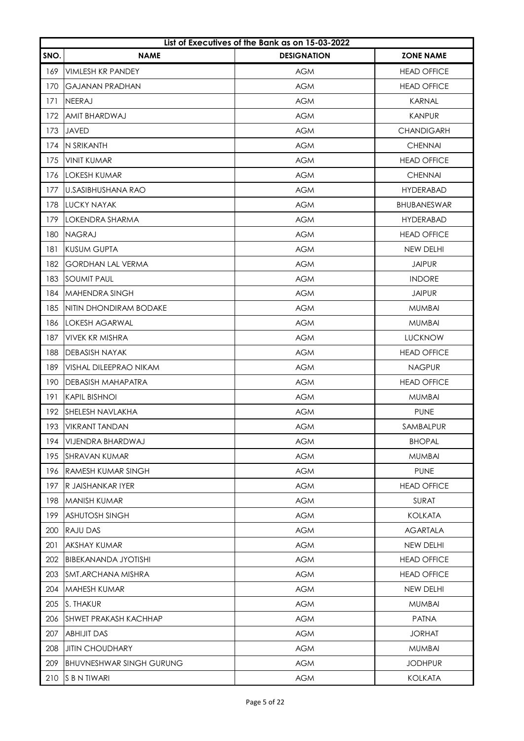|      | List of Executives of the Bank as on 15-03-2022 |                    |                    |  |
|------|-------------------------------------------------|--------------------|--------------------|--|
| SNO. | <b>NAME</b>                                     | <b>DESIGNATION</b> | <b>ZONE NAME</b>   |  |
| 169  | <b>VIMLESH KR PANDEY</b>                        | <b>AGM</b>         | <b>HEAD OFFICE</b> |  |
| 170  | <b>GAJANAN PRADHAN</b>                          | <b>AGM</b>         | <b>HEAD OFFICE</b> |  |
| 171  | NEERAJ                                          | <b>AGM</b>         | <b>KARNAL</b>      |  |
| 172  | <b>AMIT BHARDWAJ</b>                            | <b>AGM</b>         | <b>KANPUR</b>      |  |
| 173  | <b>JAVED</b>                                    | <b>AGM</b>         | <b>CHANDIGARH</b>  |  |
| 174  | N SRIKANTH                                      | <b>AGM</b>         | <b>CHENNAI</b>     |  |
| 175  | <b>VINIT KUMAR</b>                              | <b>AGM</b>         | <b>HEAD OFFICE</b> |  |
| 176  | <b>LOKESH KUMAR</b>                             | <b>AGM</b>         | <b>CHENNAI</b>     |  |
| 177  | <b>U.SASIBHUSHANA RAO</b>                       | <b>AGM</b>         | <b>HYDERABAD</b>   |  |
| 178  | <b>LUCKY NAYAK</b>                              | <b>AGM</b>         | BHUBANESWAR        |  |
| 179  | LOKENDRA SHARMA                                 | <b>AGM</b>         | <b>HYDERABAD</b>   |  |
| 180  | <b>NAGRAJ</b>                                   | <b>AGM</b>         | <b>HEAD OFFICE</b> |  |
| 181  | <b>KUSUM GUPTA</b>                              | <b>AGM</b>         | NEW DELHI          |  |
| 182  | <b>GORDHAN LAL VERMA</b>                        | <b>AGM</b>         | <b>JAIPUR</b>      |  |
| 183  | <b>SOUMIT PAUL</b>                              | <b>AGM</b>         | <b>INDORE</b>      |  |
| 184  | MAHENDRA SINGH                                  | <b>AGM</b>         | <b>JAIPUR</b>      |  |
| 185  | INITIN DHONDIRAM BODAKE                         | <b>AGM</b>         | <b>MUMBAI</b>      |  |
| 186  | <b>LOKESH AGARWAL</b>                           | <b>AGM</b>         | <b>MUMBAI</b>      |  |
| 187  | <b>VIVEK KR MISHRA</b>                          | <b>AGM</b>         | <b>LUCKNOW</b>     |  |
| 188  | <b>DEBASISH NAYAK</b>                           | <b>AGM</b>         | <b>HEAD OFFICE</b> |  |
| 189  | VISHAL DILEEPRAO NIKAM                          | <b>AGM</b>         | <b>NAGPUR</b>      |  |
| 190  | IDEBASISH MAHAPATRA                             | <b>AGM</b>         | <b>HEAD OFFICE</b> |  |
| 191  | <b>KAPIL BISHNOI</b>                            | <b>AGM</b>         | <b>MUMBAI</b>      |  |
| 192  | <b>SHELESH NAVLAKHA</b>                         | <b>AGM</b>         | <b>PUNE</b>        |  |
| 193  | <b>VIKRANT TANDAN</b>                           | <b>AGM</b>         | SAMBALPUR          |  |
| 194  | VIJENDRA BHARDWAJ                               | <b>AGM</b>         | <b>BHOPAL</b>      |  |
| 195  | ISHRAVAN KUMAR                                  | <b>AGM</b>         | <b>MUMBAI</b>      |  |
| 196  | <b>RAMESH KUMAR SINGH</b>                       | <b>AGM</b>         | <b>PUNE</b>        |  |
| 197  | R JAISHANKAR IYER                               | <b>AGM</b>         | <b>HEAD OFFICE</b> |  |
| 198  | <b>MANISH KUMAR</b>                             | <b>AGM</b>         | <b>SURAT</b>       |  |
| 199  | <b>ASHUTOSH SINGH</b>                           | <b>AGM</b>         | <b>KOLKATA</b>     |  |
| 200  | <b>RAJU DAS</b>                                 | <b>AGM</b>         | <b>AGARTALA</b>    |  |
| 201  | AKSHAY KUMAR                                    | <b>AGM</b>         | NEW DELHI          |  |
| 202  | <b>BIBEKANANDA JYOTISHI</b>                     | <b>AGM</b>         | <b>HEAD OFFICE</b> |  |
| 203  | <b>SMT.ARCHANA MISHRA</b>                       | <b>AGM</b>         | <b>HEAD OFFICE</b> |  |
| 204  | <b>MAHESH KUMAR</b>                             | <b>AGM</b>         | NEW DELHI          |  |
| 205  | S. THAKUR                                       | <b>AGM</b>         | <b>MUMBAI</b>      |  |
| 206  | <b>SHWET PRAKASH KACHHAP</b>                    | <b>AGM</b>         | <b>PATNA</b>       |  |
| 207  | <b>ABHIJIT DAS</b>                              | <b>AGM</b>         | <b>JORHAT</b>      |  |
| 208  | <b>JITIN CHOUDHARY</b>                          | <b>AGM</b>         | <b>MUMBAI</b>      |  |
| 209  | <b>BHUVNESHWAR SINGH GURUNG</b>                 | <b>AGM</b>         | <b>JODHPUR</b>     |  |
| 210  | <b>S B N TIWARI</b>                             | <b>AGM</b>         | <b>KOLKATA</b>     |  |
|      |                                                 |                    |                    |  |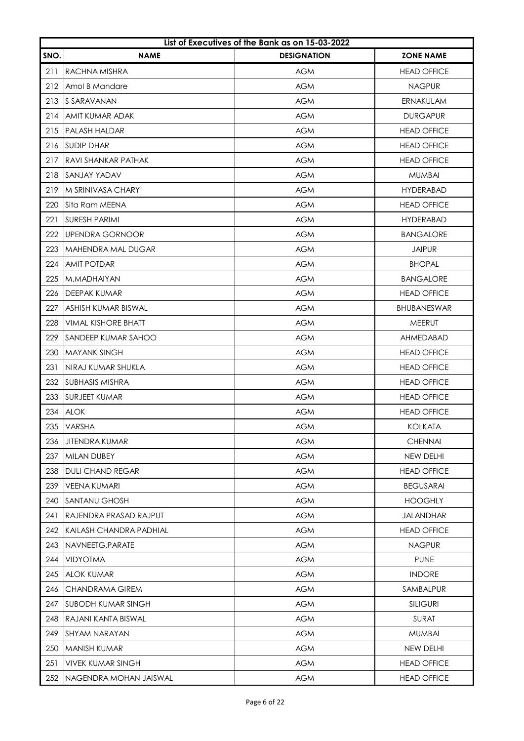|      | List of Executives of the Bank as on 15-03-2022 |                    |                    |  |
|------|-------------------------------------------------|--------------------|--------------------|--|
| SNO. | <b>NAME</b>                                     | <b>DESIGNATION</b> | <b>ZONE NAME</b>   |  |
| 211  | RACHNA MISHRA                                   | <b>AGM</b>         | <b>HEAD OFFICE</b> |  |
| 212  | Amol B Mandare                                  | <b>AGM</b>         | <b>NAGPUR</b>      |  |
| 213  | S SARAVANAN                                     | <b>AGM</b>         | ERNAKULAM          |  |
| 214  | AMIT KUMAR ADAK                                 | <b>AGM</b>         | <b>DURGAPUR</b>    |  |
| 215  | <b>PALASH HALDAR</b>                            | <b>AGM</b>         | <b>HEAD OFFICE</b> |  |
| 216  | <b>SUDIP DHAR</b>                               | <b>AGM</b>         | <b>HEAD OFFICE</b> |  |
| 217  | IRAVI SHANKAR PATHAK                            | <b>AGM</b>         | <b>HEAD OFFICE</b> |  |
| 218  | SANJAY YADAV                                    | <b>AGM</b>         | <b>MUMBAI</b>      |  |
| 219  | <b>M SRINIVASA CHARY</b>                        | <b>AGM</b>         | <b>HYDERABAD</b>   |  |
| 220  | lSita Ram MEENA                                 | <b>AGM</b>         | <b>HEAD OFFICE</b> |  |
| 221  | <b>SURESH PARIMI</b>                            | <b>AGM</b>         | <b>HYDERABAD</b>   |  |
| 222  | <b>IUPENDRA GORNOOR</b>                         | <b>AGM</b>         | <b>BANGALORE</b>   |  |
| 223  | MAHENDRA MAL DUGAR                              | <b>AGM</b>         | <b>JAIPUR</b>      |  |
| 224  | AMIT POTDAR                                     | <b>AGM</b>         | <b>BHOPAL</b>      |  |
| 225  | M.MADHAIYAN                                     | <b>AGM</b>         | <b>BANGALORE</b>   |  |
| 226  | DEEPAK KUMAR                                    | <b>AGM</b>         | <b>HEAD OFFICE</b> |  |
| 227  | ASHISH KUMAR BISWAL                             | <b>AGM</b>         | <b>BHUBANESWAR</b> |  |
| 228  | <b>VIMAL KISHORE BHATT</b>                      | <b>AGM</b>         | MEERUT             |  |
| 229  | <b>SANDEEP KUMAR SAHOO</b>                      | <b>AGM</b>         | AHMEDABAD          |  |
| 230  | <b>IMAYANK SINGH</b>                            | <b>AGM</b>         | <b>HEAD OFFICE</b> |  |
| 231  | NIRAJ KUMAR SHUKLA                              | <b>AGM</b>         | <b>HEAD OFFICE</b> |  |
| 232  | <b>SUBHASIS MISHRA</b>                          | <b>AGM</b>         | <b>HEAD OFFICE</b> |  |
| 233  | <b>SURJEET KUMAR</b>                            | <b>AGM</b>         | <b>HEAD OFFICE</b> |  |
| 234  | <b>ALOK</b>                                     | <b>AGM</b>         | <b>HEAD OFFICE</b> |  |
| 235  | <b>VARSHA</b>                                   | <b>AGM</b>         | <b>KOLKATA</b>     |  |
| 236  | <b>JITENDRA KUMAR</b>                           | <b>AGM</b>         | <b>CHENNAI</b>     |  |
| 237  | <b>MILAN DUBEY</b>                              | <b>AGM</b>         | NEW DELHI          |  |
| 238  | <b>DULI CHAND REGAR</b>                         | <b>AGM</b>         | <b>HEAD OFFICE</b> |  |
| 239  | <b>VEENA KUMARI</b>                             | <b>AGM</b>         | <b>BEGUSARAI</b>   |  |
| 240  | <b>SANTANU GHOSH</b>                            | <b>AGM</b>         | <b>HOOGHLY</b>     |  |
| 241  | RAJENDRA PRASAD RAJPUT                          | <b>AGM</b>         | <b>JALANDHAR</b>   |  |
| 242  | KAILASH CHANDRA PADHIAL                         | <b>AGM</b>         | <b>HEAD OFFICE</b> |  |
| 243  | NAVNEETG.PARATE                                 | <b>AGM</b>         | <b>NAGPUR</b>      |  |
| 244  | <b>VIDYOTMA</b>                                 | <b>AGM</b>         | <b>PUNE</b>        |  |
| 245  | <b>ALOK KUMAR</b>                               | <b>AGM</b>         | <b>INDORE</b>      |  |
| 246  | CHANDRAMA GIREM                                 | <b>AGM</b>         | SAMBALPUR          |  |
| 247  | ISUBODH KUMAR SINGH                             | <b>AGM</b>         | <b>SILIGURI</b>    |  |
| 248  | RAJANI KANTA BISWAL                             | <b>AGM</b>         | <b>SURAT</b>       |  |
| 249  | <b>SHYAM NARAYAN</b>                            | <b>AGM</b>         | <b>MUMBAI</b>      |  |
| 250  | MANISH KUMAR                                    | <b>AGM</b>         | NEW DELHI          |  |
| 251  | <b>VIVEK KUMAR SINGH</b>                        | <b>AGM</b>         | <b>HEAD OFFICE</b> |  |
| 252  | NAGENDRA MOHAN JAISWAL                          | <b>AGM</b>         | <b>HEAD OFFICE</b> |  |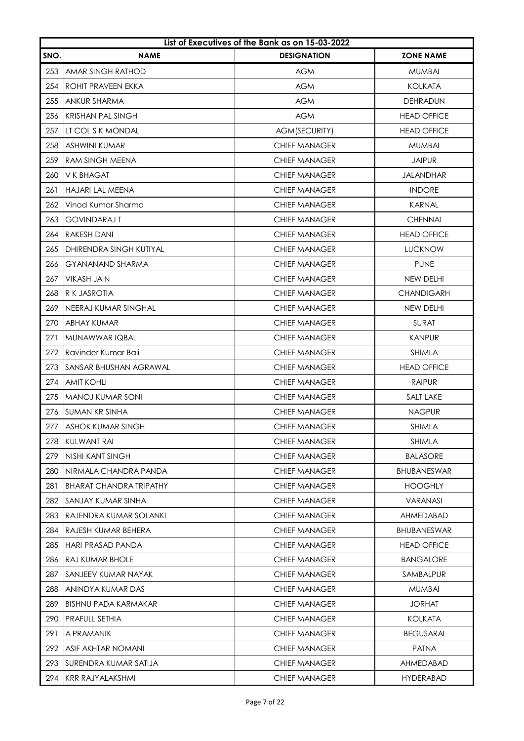|      | List of Executives of the Bank as on 15-03-2022 |                      |                    |  |
|------|-------------------------------------------------|----------------------|--------------------|--|
| SNO. | <b>NAME</b>                                     | <b>DESIGNATION</b>   | <b>ZONE NAME</b>   |  |
| 253  | AMAR SINGH RATHOD                               | <b>AGM</b>           | <b>MUMBAI</b>      |  |
| 254  | ROHIT PRAVEEN EKKA                              | <b>AGM</b>           | <b>KOLKATA</b>     |  |
| 255  | ANKUR SHARMA                                    | <b>AGM</b>           | <b>DEHRADUN</b>    |  |
| 256  | <b>KRISHAN PAL SINGH</b>                        | <b>AGM</b>           | <b>HEAD OFFICE</b> |  |
| 257  | LT COL S K MONDAL                               | AGM(SECURITY)        | <b>HEAD OFFICE</b> |  |
| 258  | <b>ASHWINI KUMAR</b>                            | <b>CHIEF MANAGER</b> | <b>MUMBAI</b>      |  |
| 259  | <b>RAM SINGH MEENA</b>                          | <b>CHIEF MANAGER</b> | <b>JAIPUR</b>      |  |
| 260  | V K BHAGAT                                      | <b>CHIEF MANAGER</b> | <b>JALANDHAR</b>   |  |
| 261  | <b>HAJARI LAL MEENA</b>                         | <b>CHIEF MANAGER</b> | <b>INDORE</b>      |  |
| 262  | Vinod Kumar Sharma                              | <b>CHIEF MANAGER</b> | <b>KARNAL</b>      |  |
| 263  | <b>GOVINDARAJ T</b>                             | <b>CHIEF MANAGER</b> | <b>CHENNAI</b>     |  |
| 264  | <b>RAKESH DANI</b>                              | <b>CHIEF MANAGER</b> | <b>HEAD OFFICE</b> |  |
| 265  | DHIRENDRA SINGH KUTIYAL                         | <b>CHIEF MANAGER</b> | <b>LUCKNOW</b>     |  |
| 266  | <b>GYANANAND SHARMA</b>                         | <b>CHIEF MANAGER</b> | <b>PUNE</b>        |  |
| 267  | <b>VIKASH JAIN</b>                              | <b>CHIEF MANAGER</b> | NEW DELHI          |  |
| 268  | R K JASROTIA                                    | <b>CHIEF MANAGER</b> | <b>CHANDIGARH</b>  |  |
| 269  | NEERAJ KUMAR SINGHAL                            | <b>CHIEF MANAGER</b> | NEW DELHI          |  |
| 270  | ABHAY KUMAR                                     | <b>CHIEF MANAGER</b> | <b>SURAT</b>       |  |
| 271  | MUNAWWAR IQBAL                                  | <b>CHIEF MANAGER</b> | <b>KANPUR</b>      |  |
| 272  | Ravinder Kumar Bali                             | <b>CHIEF MANAGER</b> | <b>SHIMLA</b>      |  |
| 273  | SANSAR BHUSHAN AGRAWAL                          | <b>CHIEF MANAGER</b> | <b>HEAD OFFICE</b> |  |
| 274  | AMIT KOHLI                                      | <b>CHIEF MANAGER</b> | <b>RAIPUR</b>      |  |
| 275  | <b>MANOJ KUMAR SONI</b>                         | <b>CHIEF MANAGER</b> | SALT LAKE          |  |
| 276  | <b>SUMAN KR SINHA</b>                           | <b>CHIEF MANAGER</b> | <b>NAGPUR</b>      |  |
| 277  | <b>ASHOK KUMAR SINGH</b>                        | <b>CHIEF MANAGER</b> | <b>SHIMLA</b>      |  |
| 278  | <b>KULWANT RAI</b>                              | <b>CHIEF MANAGER</b> | SHIMLA             |  |
| 279  | <b>NISHI KANT SINGH</b>                         | <b>CHIEF MANAGER</b> | <b>BALASORE</b>    |  |
| 280  | NIRMALA CHANDRA PANDA                           | <b>CHIEF MANAGER</b> | <b>BHUBANESWAR</b> |  |
| 281  | <b>BHARAT CHANDRA TRIPATHY</b>                  | <b>CHIEF MANAGER</b> | <b>HOOGHLY</b>     |  |
| 282  | SANJAY KUMAR SINHA                              | <b>CHIEF MANAGER</b> | <b>VARANASI</b>    |  |
| 283  | RAJENDRA KUMAR SOLANKI                          | <b>CHIEF MANAGER</b> | AHMEDABAD          |  |
| 284  | RAJESH KUMAR BEHERA                             | <b>CHIEF MANAGER</b> | <b>BHUBANESWAR</b> |  |
| 285  | <b>HARI PRASAD PANDA</b>                        | <b>CHIEF MANAGER</b> | <b>HEAD OFFICE</b> |  |
| 286  | <b>RAJ KUMAR BHOLE</b>                          | <b>CHIEF MANAGER</b> | <b>BANGALORE</b>   |  |
| 287  | SANJEEV KUMAR NAYAK                             | <b>CHIEF MANAGER</b> | SAMBALPUR          |  |
| 288  | ANINDYA KUMAR DAS                               | <b>CHIEF MANAGER</b> | <b>MUMBAI</b>      |  |
| 289  | BISHNU PADA KARMAKAR                            | <b>CHIEF MANAGER</b> | <b>JORHAT</b>      |  |
| 290  | <b>PRAFULL SETHIA</b>                           | <b>CHIEF MANAGER</b> | <b>KOLKATA</b>     |  |
| 291  | A PRAMANIK                                      | <b>CHIEF MANAGER</b> | <b>BEGUSARAI</b>   |  |
| 292  | <b>ASIF AKHTAR NOMANI</b>                       | <b>CHIEF MANAGER</b> | <b>PATNA</b>       |  |
| 293  | SURENDRA KUMAR SATIJA                           | <b>CHIEF MANAGER</b> | <b>AHMEDABAD</b>   |  |
| 294  | <b>KRR RAJYALAKSHMI</b>                         | <b>CHIEF MANAGER</b> | <b>HYDERABAD</b>   |  |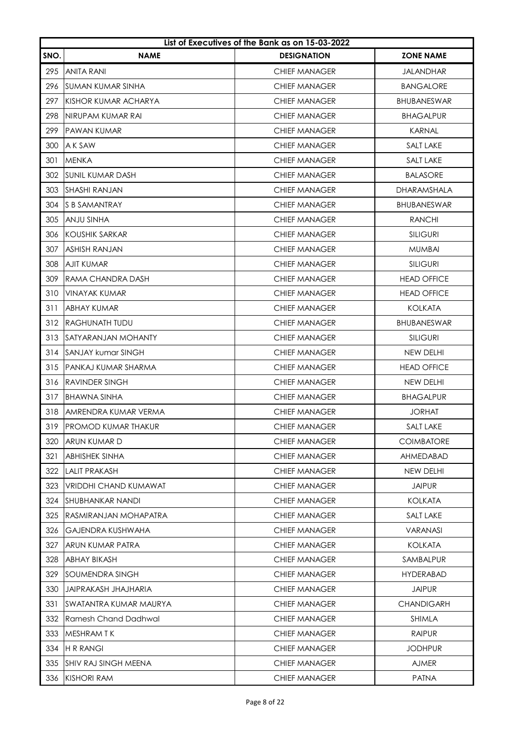|      | List of Executives of the Bank as on 15-03-2022 |                      |                    |  |
|------|-------------------------------------------------|----------------------|--------------------|--|
| SNO. | <b>NAME</b>                                     | <b>DESIGNATION</b>   | <b>ZONE NAME</b>   |  |
| 295  | <b>ANITA RANI</b>                               | <b>CHIEF MANAGER</b> | <b>JALANDHAR</b>   |  |
| 296  | ISUMAN KUMAR SINHA                              | <b>CHIEF MANAGER</b> | <b>BANGALORE</b>   |  |
| 297  | KISHOR KUMAR ACHARYA                            | <b>CHIEF MANAGER</b> | <b>BHUBANESWAR</b> |  |
| 298  | NIRUPAM KUMAR RAI                               | <b>CHIEF MANAGER</b> | <b>BHAGALPUR</b>   |  |
| 299  | <b>PAWAN KUMAR</b>                              | <b>CHIEF MANAGER</b> | KARNAL             |  |
| 300  | A K SAW                                         | <b>CHIEF MANAGER</b> | <b>SALT LAKE</b>   |  |
| 301  | <b>MENKA</b>                                    | <b>CHIEF MANAGER</b> | <b>SALT LAKE</b>   |  |
| 302  | <b>SUNIL KUMAR DASH</b>                         | <b>CHIEF MANAGER</b> | <b>BALASORE</b>    |  |
| 303  | SHASHI RANJAN                                   | <b>CHIEF MANAGER</b> | <b>DHARAMSHALA</b> |  |
| 304  | <b>S B SAMANTRAY</b>                            | <b>CHIEF MANAGER</b> | <b>BHUBANESWAR</b> |  |
| 305  | <b>ANJU SINHA</b>                               | <b>CHIEF MANAGER</b> | <b>RANCHI</b>      |  |
| 306  | KOUSHIK SARKAR                                  | <b>CHIEF MANAGER</b> | <b>SILIGURI</b>    |  |
| 307  | ASHISH RANJAN                                   | <b>CHIEF MANAGER</b> | <b>MUMBAI</b>      |  |
| 308  | <b>AJIT KUMAR</b>                               | <b>CHIEF MANAGER</b> | <b>SILIGURI</b>    |  |
| 309  | RAMA CHANDRA DASH                               | <b>CHIEF MANAGER</b> | <b>HEAD OFFICE</b> |  |
| 310  | <b>VINAYAK KUMAR</b>                            | <b>CHIEF MANAGER</b> | <b>HEAD OFFICE</b> |  |
| 311  | ABHAY KUMAR                                     | <b>CHIEF MANAGER</b> | <b>KOLKATA</b>     |  |
| 312  | RAGHUNATH TUDU                                  | <b>CHIEF MANAGER</b> | <b>BHUBANESWAR</b> |  |
| 313  | SATYARANJAN MOHANTY                             | <b>CHIEF MANAGER</b> | <b>SILIGURI</b>    |  |
| 314  | <b>SANJAY kumar SINGH</b>                       | <b>CHIEF MANAGER</b> | NEW DELHI          |  |
| 315  | PANKAJ KUMAR SHARMA                             | <b>CHIEF MANAGER</b> | <b>HEAD OFFICE</b> |  |
| 316  | <b>RAVINDER SINGH</b>                           | <b>CHIEF MANAGER</b> | NEW DELHI          |  |
| 317  | BHAWNA SINHA                                    | <b>CHIEF MANAGER</b> | <b>BHAGALPUR</b>   |  |
| 318  | AMRENDRA KUMAR VERMA                            | <b>CHIEF MANAGER</b> | <b>JORHAT</b>      |  |
| 319  | PROMOD KUMAR THAKUR                             | <b>CHIEF MANAGER</b> | <b>SALT LAKE</b>   |  |
| 320  | ARUN KUMAR D                                    | <b>CHIEF MANAGER</b> | <b>COIMBATORE</b>  |  |
| 321  | ABHISHEK SINHA                                  | <b>CHIEF MANAGER</b> | <b>AHMEDABAD</b>   |  |
| 322  | <b>LALIT PRAKASH</b>                            | <b>CHIEF MANAGER</b> | NEW DELHI          |  |
| 323  | <b>VRIDDHI CHAND KUMAWAT</b>                    | <b>CHIEF MANAGER</b> | <b>JAIPUR</b>      |  |
| 324  | SHUBHANKAR NANDI                                | <b>CHIEF MANAGER</b> | <b>KOLKATA</b>     |  |
| 325  | RASMIRANJAN MOHAPATRA                           | <b>CHIEF MANAGER</b> | <b>SALT LAKE</b>   |  |
| 326  | GAJENDRA KUSHWAHA                               | <b>CHIEF MANAGER</b> | <b>VARANASI</b>    |  |
| 327  | ARUN KUMAR PATRA                                | <b>CHIEF MANAGER</b> | <b>KOLKATA</b>     |  |
| 328  | ABHAY BIKASH                                    | <b>CHIEF MANAGER</b> | SAMBALPUR          |  |
| 329  | SOUMENDRA SINGH                                 | <b>CHIEF MANAGER</b> | <b>HYDERABAD</b>   |  |
| 330  | <b>JAIPRAKASH JHAJHARIA</b>                     | <b>CHIEF MANAGER</b> | <b>JAIPUR</b>      |  |
| 331  | SWATANTRA KUMAR MAURYA                          | <b>CHIEF MANAGER</b> | <b>CHANDIGARH</b>  |  |
| 332  | <b>Ramesh Chand Dadhwal</b>                     | <b>CHIEF MANAGER</b> | <b>SHIMLA</b>      |  |
| 333  | MESHRAM T K                                     | <b>CHIEF MANAGER</b> | <b>RAIPUR</b>      |  |
| 334  | <b>H R RANGI</b>                                | <b>CHIEF MANAGER</b> | <b>JODHPUR</b>     |  |
| 335  | SHIV RAJ SINGH MEENA                            | <b>CHIEF MANAGER</b> | <b>AJMER</b>       |  |
| 336  | <b>KISHORI RAM</b>                              | <b>CHIEF MANAGER</b> | <b>PATNA</b>       |  |
|      |                                                 |                      |                    |  |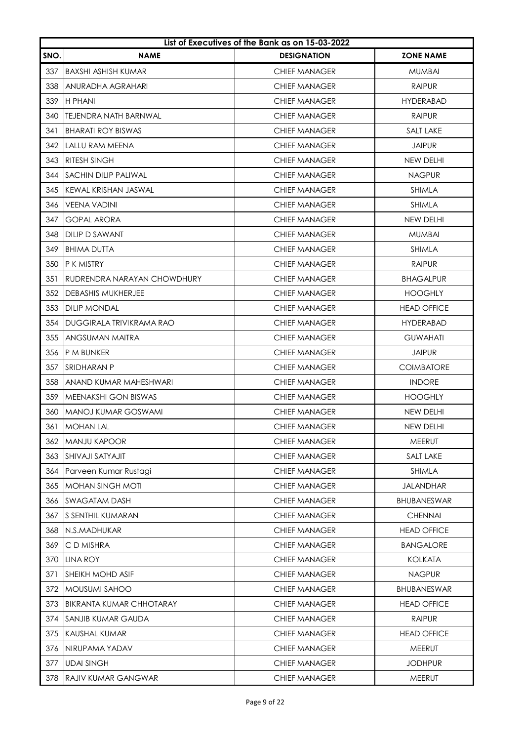|      | List of Executives of the Bank as on 15-03-2022 |                      |                    |  |
|------|-------------------------------------------------|----------------------|--------------------|--|
| SNO. | <b>NAME</b>                                     | <b>DESIGNATION</b>   | <b>ZONE NAME</b>   |  |
| 337  | <b>BAXSHI ASHISH KUMAR</b>                      | <b>CHIEF MANAGER</b> | <b>MUMBAI</b>      |  |
| 338  | ANURADHA AGRAHARI                               | CHIEF MANAGER        | <b>RAIPUR</b>      |  |
| 339  | H PHANI                                         | <b>CHIEF MANAGER</b> | <b>HYDERABAD</b>   |  |
| 340  | TEJENDRA NATH BARNWAL                           | <b>CHIEF MANAGER</b> | <b>RAIPUR</b>      |  |
| 341  | <b>BHARATI ROY BISWAS</b>                       | <b>CHIEF MANAGER</b> | <b>SALT LAKE</b>   |  |
| 342  | LALLU RAM MEENA                                 | <b>CHIEF MANAGER</b> | <b>JAIPUR</b>      |  |
| 343  | <b>IRITESH SINGH</b>                            | <b>CHIEF MANAGER</b> | NEW DELHI          |  |
| 344  | <b>ISACHIN DILIP PALIWAL</b>                    | <b>CHIEF MANAGER</b> | <b>NAGPUR</b>      |  |
| 345  | KEWAL KRISHAN JASWAL                            | <b>CHIEF MANAGER</b> | <b>SHIMLA</b>      |  |
| 346  | <b>VEENA VADINI</b>                             | <b>CHIEF MANAGER</b> | <b>SHIMLA</b>      |  |
| 347  | <b>GOPAL ARORA</b>                              | <b>CHIEF MANAGER</b> | NEW DELHI          |  |
| 348  | <b>DILIP D SAWANT</b>                           | <b>CHIEF MANAGER</b> | <b>MUMBAI</b>      |  |
| 349  | <b>BHIMA DUTTA</b>                              | <b>CHIEF MANAGER</b> | <b>SHIMLA</b>      |  |
| 350  | IP K MISTRY                                     | CHIEF MANAGER        | <b>RAIPUR</b>      |  |
| 351  | IRUDRENDRA NARAYAN CHOWDHURY                    | <b>CHIEF MANAGER</b> | <b>BHAGALPUR</b>   |  |
| 352  | <b>DEBASHIS MUKHERJEE</b>                       | <b>CHIEF MANAGER</b> | <b>HOOGHLY</b>     |  |
| 353  | IDILIP MONDAL                                   | <b>CHIEF MANAGER</b> | <b>HEAD OFFICE</b> |  |
| 354  | DUGGIRALA TRIVIKRAMA RAO                        | <b>CHIEF MANAGER</b> | <b>HYDERABAD</b>   |  |
| 355  | ANGSUMAN MAITRA                                 | <b>CHIEF MANAGER</b> | <b>GUWAHATI</b>    |  |
| 356  | <b>P M BUNKER</b>                               | <b>CHIEF MANAGER</b> | <b>JAIPUR</b>      |  |
| 357  | <b>SRIDHARAN P</b>                              | <b>CHIEF MANAGER</b> | <b>COIMBATORE</b>  |  |
| 358  | ANAND KUMAR MAHESHWARI                          | <b>CHIEF MANAGER</b> | <b>INDORE</b>      |  |
| 359  | <b>MEENAKSHI GON BISWAS</b>                     | <b>CHIEF MANAGER</b> | <b>HOOGHLY</b>     |  |
| 360  | MANOJ KUMAR GOSWAMI                             | <b>CHIEF MANAGER</b> | NEW DELHI          |  |
| 361  | <b>MOHAN LAL</b>                                | <b>CHIEF MANAGER</b> | NEW DELHI          |  |
| 362  | <b>MANJU KAPOOR</b>                             | <b>CHIEF MANAGER</b> | MEERUT             |  |
| 363  | <b>ISHIVAJI SATYAJIT</b>                        | <b>CHIEF MANAGER</b> | SALT LAKE          |  |
| 364  | Parveen Kumar Rustagi                           | <b>CHIEF MANAGER</b> | <b>SHIMLA</b>      |  |
| 365  | <b>MOHAN SINGH MOTI</b>                         | <b>CHIEF MANAGER</b> | <b>JALANDHAR</b>   |  |
| 366  | <b>SWAGATAM DASH</b>                            | <b>CHIEF MANAGER</b> | <b>BHUBANESWAR</b> |  |
| 367  | S SENTHIL KUMARAN                               | <b>CHIEF MANAGER</b> | <b>CHENNAI</b>     |  |
| 368  | N.S.MADHUKAR                                    | <b>CHIEF MANAGER</b> | <b>HEAD OFFICE</b> |  |
| 369  | C D MISHRA                                      | <b>CHIEF MANAGER</b> | <b>BANGALORE</b>   |  |
| 370  | <b>LINA ROY</b>                                 | <b>CHIEF MANAGER</b> | <b>KOLKATA</b>     |  |
| 371  | SHEIKH MOHD ASIF                                | <b>CHIEF MANAGER</b> | <b>NAGPUR</b>      |  |
| 372  | <b>MOUSUMI SAHOO</b>                            | <b>CHIEF MANAGER</b> | <b>BHUBANESWAR</b> |  |
| 373  | <b>BIKRANTA KUMAR CHHOTARAY</b>                 | <b>CHIEF MANAGER</b> | <b>HEAD OFFICE</b> |  |
| 374  | SANJIB KUMAR GAUDA                              | <b>CHIEF MANAGER</b> | <b>RAIPUR</b>      |  |
| 375  | KAUSHAL KUMAR                                   | <b>CHIEF MANAGER</b> | <b>HEAD OFFICE</b> |  |
| 376  | NIRUPAMA YADAV                                  | <b>CHIEF MANAGER</b> | MEERUT             |  |
| 377  | <b>UDAI SINGH</b>                               | <b>CHIEF MANAGER</b> | <b>JODHPUR</b>     |  |
| 378  | <b>RAJIV KUMAR GANGWAR</b>                      | <b>CHIEF MANAGER</b> | MEERUT             |  |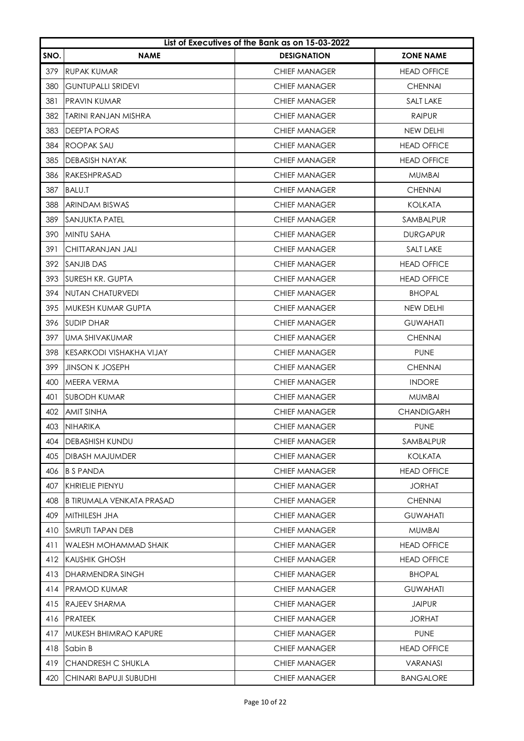|      | List of Executives of the Bank as on 15-03-2022 |                      |                    |  |
|------|-------------------------------------------------|----------------------|--------------------|--|
| SNO. | <b>NAME</b>                                     | <b>DESIGNATION</b>   | <b>ZONE NAME</b>   |  |
| 379  | RUPAK KUMAR                                     | <b>CHIEF MANAGER</b> | <b>HEAD OFFICE</b> |  |
| 380  | <b>GUNTUPALLI SRIDEVI</b>                       | <b>CHIEF MANAGER</b> | <b>CHENNAI</b>     |  |
| 381  | <b>PRAVIN KUMAR</b>                             | <b>CHIEF MANAGER</b> | <b>SALT LAKE</b>   |  |
| 382  | <b>TARINI RANJAN MISHRA</b>                     | <b>CHIEF MANAGER</b> | <b>RAIPUR</b>      |  |
| 383  | DEEPTA PORAS                                    | <b>CHIEF MANAGER</b> | NEW DELHI          |  |
| 384  | ROOPAK SAU                                      | <b>CHIEF MANAGER</b> | <b>HEAD OFFICE</b> |  |
| 385  | <b>DEBASISH NAYAK</b>                           | <b>CHIEF MANAGER</b> | <b>HEAD OFFICE</b> |  |
| 386  | <b>RAKESHPRASAD</b>                             | <b>CHIEF MANAGER</b> | <b>MUMBAI</b>      |  |
| 387  | <b>BALU.T</b>                                   | <b>CHIEF MANAGER</b> | <b>CHENNAI</b>     |  |
| 388  | ARINDAM BISWAS                                  | <b>CHIEF MANAGER</b> | <b>KOLKATA</b>     |  |
| 389  | <b>SANJUKTA PATEL</b>                           | <b>CHIEF MANAGER</b> | SAMBALPUR          |  |
| 390  | MINTU SAHA                                      | <b>CHIEF MANAGER</b> | <b>DURGAPUR</b>    |  |
| 391  | CHITTARANJAN JALI                               | <b>CHIEF MANAGER</b> | SALT LAKE          |  |
| 392  | <b>SANJIB DAS</b>                               | <b>CHIEF MANAGER</b> | <b>HEAD OFFICE</b> |  |
| 393  | <b>SURESH KR. GUPTA</b>                         | <b>CHIEF MANAGER</b> | <b>HEAD OFFICE</b> |  |
| 394  | NUTAN CHATURVEDI                                | <b>CHIEF MANAGER</b> | <b>BHOPAL</b>      |  |
| 395  | IMUKESH KUMAR GUPTA                             | <b>CHIEF MANAGER</b> | NEW DELHI          |  |
| 396  | <b>SUDIP DHAR</b>                               | <b>CHIEF MANAGER</b> | <b>GUWAHATI</b>    |  |
| 397  | <b>UMA SHIVAKUMAR</b>                           | <b>CHIEF MANAGER</b> | <b>CHENNAI</b>     |  |
| 398  | KESARKODI VISHAKHA VIJAY                        | <b>CHIEF MANAGER</b> | <b>PUNE</b>        |  |
| 399  | JINSON K JOSEPH                                 | <b>CHIEF MANAGER</b> | <b>CHENNAI</b>     |  |
| 400  | MEERA VERMA                                     | <b>CHIEF MANAGER</b> | <b>INDORE</b>      |  |
| 401  | <b>SUBODH KUMAR</b>                             | <b>CHIEF MANAGER</b> | <b>MUMBAI</b>      |  |
| 402  | AMIT SINHA                                      | <b>CHIEF MANAGER</b> | <b>CHANDIGARH</b>  |  |
| 403  | <b>NIHARIKA</b>                                 | <b>CHIEF MANAGER</b> | <b>PUNE</b>        |  |
| 404  | <b>DEBASHISH KUNDU</b>                          | <b>CHIEF MANAGER</b> | SAMBALPUR          |  |
| 405  | DIBASH MAJUMDER                                 | <b>CHIEF MANAGER</b> | <b>KOLKATA</b>     |  |
| 406  | <b>B S PANDA</b>                                | <b>CHIEF MANAGER</b> | <b>HEAD OFFICE</b> |  |
| 407  | KHRIELIE PIENYU                                 | <b>CHIEF MANAGER</b> | <b>JORHAT</b>      |  |
| 408  | <b>B TIRUMALA VENKATA PRASAD</b>                | <b>CHIEF MANAGER</b> | <b>CHENNAI</b>     |  |
| 409  | MITHILESH JHA                                   | <b>CHIEF MANAGER</b> | <b>GUWAHATI</b>    |  |
| 410  | ISMRUTI TAPAN DEB                               | <b>CHIEF MANAGER</b> | <b>MUMBAI</b>      |  |
| 411  | WALESH MOHAMMAD SHAIK                           | <b>CHIEF MANAGER</b> | <b>HEAD OFFICE</b> |  |
| 412  | KAUSHIK GHOSH                                   | <b>CHIEF MANAGER</b> | <b>HEAD OFFICE</b> |  |
| 413  | DHARMENDRA SINGH                                | <b>CHIEF MANAGER</b> | <b>BHOPAL</b>      |  |
| 414  | <b>PRAMOD KUMAR</b>                             | <b>CHIEF MANAGER</b> | <b>GUWAHATI</b>    |  |
| 415  | RAJEEV SHARMA                                   | <b>CHIEF MANAGER</b> | <b>JAIPUR</b>      |  |
| 416  | <b>PRATEEK</b>                                  | <b>CHIEF MANAGER</b> | <b>JORHAT</b>      |  |
| 417  | MUKESH BHIMRAO KAPURE                           | <b>CHIEF MANAGER</b> | <b>PUNE</b>        |  |
| 418  | Sabin B                                         | CHIEF MANAGER        | <b>HEAD OFFICE</b> |  |
| 419  | CHANDRESH C SHUKLA                              | <b>CHIEF MANAGER</b> | <b>VARANASI</b>    |  |
| 420  | CHINARI BAPUJI SUBUDHI                          | <b>CHIEF MANAGER</b> | <b>BANGALORE</b>   |  |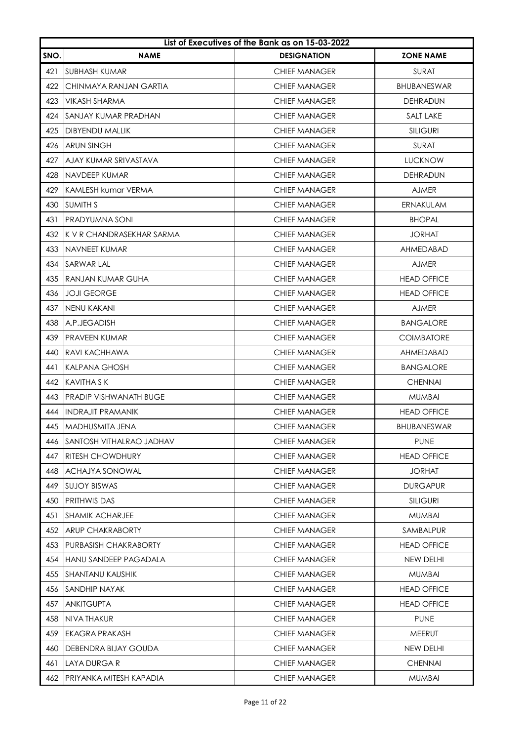|      | List of Executives of the Bank as on 15-03-2022 |                      |                    |  |
|------|-------------------------------------------------|----------------------|--------------------|--|
| SNO. | <b>NAME</b>                                     | <b>DESIGNATION</b>   | <b>ZONE NAME</b>   |  |
| 421  | <b>SUBHASH KUMAR</b>                            | <b>CHIEF MANAGER</b> | <b>SURAT</b>       |  |
| 422  | CHINMAYA RANJAN GARTIA                          | CHIEF MANAGER        | <b>BHUBANESWAR</b> |  |
| 423  | VIKASH SHARMA                                   | <b>CHIEF MANAGER</b> | DEHRADUN           |  |
| 424  | SANJAY KUMAR PRADHAN                            | <b>CHIEF MANAGER</b> | <b>SALT LAKE</b>   |  |
| 425  | <b>DIBYENDU MALLIK</b>                          | <b>CHIEF MANAGER</b> | <b>SILIGURI</b>    |  |
| 426  | <b>ARUN SINGH</b>                               | <b>CHIEF MANAGER</b> | SURAT              |  |
| 427  | AJAY KUMAR SRIVASTAVA                           | <b>CHIEF MANAGER</b> | <b>LUCKNOW</b>     |  |
| 428  | NAVDEEP KUMAR                                   | <b>CHIEF MANAGER</b> | <b>DEHRADUN</b>    |  |
| 429  | KAMLESH kumar VERMA                             | <b>CHIEF MANAGER</b> | <b>AJMER</b>       |  |
| 430  | <b>SUMITH S</b>                                 | <b>CHIEF MANAGER</b> | ERNAKULAM          |  |
| 431  | <b>PRADYUMNA SONI</b>                           | <b>CHIEF MANAGER</b> | <b>BHOPAL</b>      |  |
| 432  | <b>IK V R CHANDRASEKHAR SARMA</b>               | <b>CHIEF MANAGER</b> | <b>JORHAT</b>      |  |
| 433  | NAVNEET KUMAR                                   | <b>CHIEF MANAGER</b> | <b>AHMEDABAD</b>   |  |
| 434  | <b>SARWAR LAL</b>                               | <b>CHIEF MANAGER</b> | <b>AJMER</b>       |  |
| 435  | <b>RANJAN KUMAR GUHA</b>                        | <b>CHIEF MANAGER</b> | <b>HEAD OFFICE</b> |  |
| 436  | <b>JOJI GEORGE</b>                              | <b>CHIEF MANAGER</b> | <b>HEAD OFFICE</b> |  |
| 437  | NENU KAKANI                                     | <b>CHIEF MANAGER</b> | <b>AJMER</b>       |  |
| 438  | A.P.JEGADISH                                    | <b>CHIEF MANAGER</b> | <b>BANGALORE</b>   |  |
| 439  | IPRAVEEN KUMAR                                  | <b>CHIEF MANAGER</b> | <b>COIMBATORE</b>  |  |
| 440  | RAVI KACHHAWA                                   | <b>CHIEF MANAGER</b> | AHMEDABAD          |  |
| 441  | IKALPANA GHOSH                                  | <b>CHIEF MANAGER</b> | <b>BANGALORE</b>   |  |
|      | 442 KAVITHASK                                   | <b>CHIEF MANAGER</b> | <b>CHENNAI</b>     |  |
| 443  | <b>PRADIP VISHWANATH BUGE</b>                   | <b>CHIEF MANAGER</b> | <b>MUMBAI</b>      |  |
| 444  | INDRAJIT PRAMANIK                               | <b>CHIEF MANAGER</b> | <b>HEAD OFFICE</b> |  |
| 445  | MADHUSMITA JENA                                 | <b>CHIEF MANAGER</b> | <b>BHUBANESWAR</b> |  |
| 446  | SANTOSH VITHALRAO JADHAV                        | <b>CHIEF MANAGER</b> | <b>PUNE</b>        |  |
| 447  | RITESH CHOWDHURY                                | <b>CHIEF MANAGER</b> | <b>HEAD OFFICE</b> |  |
| 448  | ACHAJYA SONOWAL                                 | <b>CHIEF MANAGER</b> | <b>JORHAT</b>      |  |
| 449  | <b>SUJOY BISWAS</b>                             | <b>CHIEF MANAGER</b> | <b>DURGAPUR</b>    |  |
| 450  | <b>PRITHWIS DAS</b>                             | <b>CHIEF MANAGER</b> | <b>SILIGURI</b>    |  |
| 451  | <b>SHAMIK ACHARJEE</b>                          | <b>CHIEF MANAGER</b> | <b>MUMBAI</b>      |  |
| 452  | <b>ARUP CHAKRABORTY</b>                         | <b>CHIEF MANAGER</b> | SAMBALPUR          |  |
| 453  | <b>PURBASISH CHAKRABORTY</b>                    | CHIEF MANAGER        | <b>HEAD OFFICE</b> |  |
| 454  | HANU SANDEEP PAGADALA                           | <b>CHIEF MANAGER</b> | NEW DELHI          |  |
| 455  | <b>SHANTANU KAUSHIK</b>                         | <b>CHIEF MANAGER</b> | <b>MUMBAI</b>      |  |
| 456  | <b>SANDHIP NAYAK</b>                            | <b>CHIEF MANAGER</b> | <b>HEAD OFFICE</b> |  |
| 457  | <b>ANKITGUPTA</b>                               | <b>CHIEF MANAGER</b> | <b>HEAD OFFICE</b> |  |
| 458  | NIVA THAKUR                                     | <b>CHIEF MANAGER</b> | <b>PUNE</b>        |  |
| 459  | EKAGRA PRAKASH                                  | <b>CHIEF MANAGER</b> | MEERUT             |  |
| 460  | DEBENDRA BIJAY GOUDA                            | <b>CHIEF MANAGER</b> | NEW DELHI          |  |
| 461  | LAYA DURGA R                                    | <b>CHIEF MANAGER</b> | <b>CHENNAI</b>     |  |
| 462  | <b>PRIYANKA MITESH KAPADIA</b>                  | <b>CHIEF MANAGER</b> | <b>MUMBAI</b>      |  |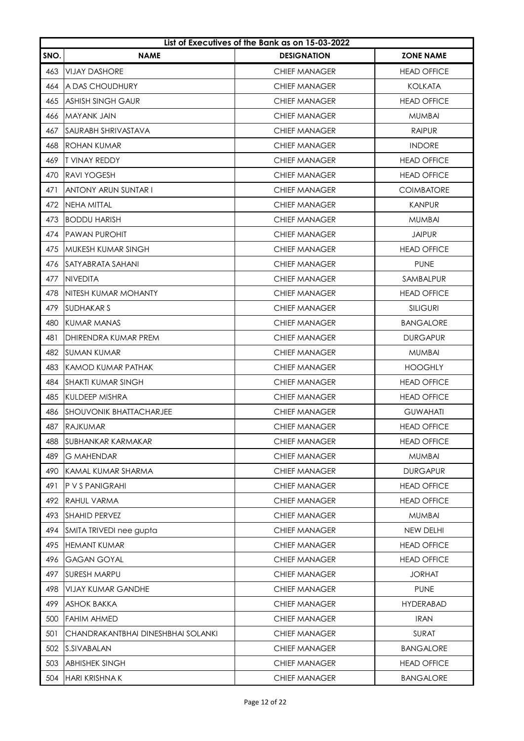|       | List of Executives of the Bank as on 15-03-2022 |                      |                    |  |
|-------|-------------------------------------------------|----------------------|--------------------|--|
| SNO.  | <b>NAME</b>                                     | <b>DESIGNATION</b>   | <b>ZONE NAME</b>   |  |
| 463   | VIJAY DASHORE                                   | <b>CHIEF MANAGER</b> | <b>HEAD OFFICE</b> |  |
| 464 l | A DAS CHOUDHURY                                 | CHIEF MANAGER        | <b>KOLKATA</b>     |  |
| 465   | ASHISH SINGH GAUR                               | <b>CHIEF MANAGER</b> | <b>HEAD OFFICE</b> |  |
| 466   | IMAYANK JAIN                                    | <b>CHIEF MANAGER</b> | MUMBAI             |  |
| 467   | ISAURABH SHRIVASTAVA                            | <b>CHIEF MANAGER</b> | <b>RAIPUR</b>      |  |
| 468   | Irohan kumar                                    | <b>CHIEF MANAGER</b> | <b>INDORE</b>      |  |
| 469   | IT VINAY REDDY                                  | <b>CHIEF MANAGER</b> | <b>HEAD OFFICE</b> |  |
| 470   | <b>RAVI YOGESH</b>                              | <b>CHIEF MANAGER</b> | <b>HEAD OFFICE</b> |  |
| 471   | ANTONY ARUN SUNTAR I                            | <b>CHIEF MANAGER</b> | <b>COIMBATORE</b>  |  |
| 472   | <b>INEHA MITTAL</b>                             | <b>CHIEF MANAGER</b> | <b>KANPUR</b>      |  |
| 473   | IBODDU HARISH                                   | <b>CHIEF MANAGER</b> | <b>MUMBAI</b>      |  |
|       | 474 IPAWAN PUROHIT                              | <b>CHIEF MANAGER</b> | <b>JAIPUR</b>      |  |
| 475   | <b>IMUKESH KUMAR SINGH</b>                      | <b>CHIEF MANAGER</b> | <b>HEAD OFFICE</b> |  |
| 476   | <b>ISATYABRATA SAHANI</b>                       | <b>CHIEF MANAGER</b> | <b>PUNE</b>        |  |
| 477   | <b>NIVEDITA</b>                                 | <b>CHIEF MANAGER</b> | SAMBALPUR          |  |
| 478   | Initesh kumar mohanty                           | <b>CHIEF MANAGER</b> | <b>HEAD OFFICE</b> |  |
| 479   | <b>ISUDHAKAR S</b>                              | <b>CHIEF MANAGER</b> | <b>SILIGURI</b>    |  |
| 480   | KUMAR MANAS                                     | <b>CHIEF MANAGER</b> | <b>BANGALORE</b>   |  |
| 481   | DHIRENDRA KUMAR PREM                            | <b>CHIEF MANAGER</b> | <b>DURGAPUR</b>    |  |
| 482   | ISUMAN KUMAR                                    | <b>CHIEF MANAGER</b> | <b>MUMBAI</b>      |  |
| 483   | <b>KAMOD KUMAR PATHAK</b>                       | <b>CHIEF MANAGER</b> | <b>HOOGHLY</b>     |  |
| 484   | ISHAKTI KUMAR SINGH                             | <b>CHIEF MANAGER</b> | <b>HEAD OFFICE</b> |  |
| 485   | IKULDEEP MISHRA                                 | <b>CHIEF MANAGER</b> | <b>HEAD OFFICE</b> |  |
| 486   | <b>SHOUVONIK BHATTACHARJEE</b>                  | <b>CHIEF MANAGER</b> | <b>GUWAHATI</b>    |  |
| 487   | <b>RAJKUMAR</b>                                 | <b>CHIEF MANAGER</b> | <b>HEAD OFFICE</b> |  |
| 488   | SUBHANKAR KARMAKAR                              | CHIEF MANAGER        | <b>HEAD OFFICE</b> |  |
| 489   | <b>G MAHENDAR</b>                               | <b>CHIEF MANAGER</b> | <b>MUMBAI</b>      |  |
| 490   | KAMAL KUMAR SHARMA                              | <b>CHIEF MANAGER</b> | <b>DURGAPUR</b>    |  |
| 491   | P V S PANIGRAHI                                 | <b>CHIEF MANAGER</b> | <b>HEAD OFFICE</b> |  |
| 492   | RAHUL VARMA                                     | <b>CHIEF MANAGER</b> | <b>HEAD OFFICE</b> |  |
| 493   | SHAHID PERVEZ                                   | <b>CHIEF MANAGER</b> | <b>MUMBAI</b>      |  |
| 494   | SMITA TRIVEDI nee gupta                         | <b>CHIEF MANAGER</b> | NEW DELHI          |  |
| 495   | <b>HEMANT KUMAR</b>                             | <b>CHIEF MANAGER</b> | <b>HEAD OFFICE</b> |  |
| 496   | <b>GAGAN GOYAL</b>                              | <b>CHIEF MANAGER</b> | <b>HEAD OFFICE</b> |  |
| 497   | SURESH MARPU                                    | <b>CHIEF MANAGER</b> | <b>JORHAT</b>      |  |
| 498   | <b>VIJAY KUMAR GANDHE</b>                       | <b>CHIEF MANAGER</b> | <b>PUNE</b>        |  |
| 499   | <b>ASHOK BAKKA</b>                              | <b>CHIEF MANAGER</b> | <b>HYDERABAD</b>   |  |
| 500   | <b>FAHIM AHMED</b>                              | <b>CHIEF MANAGER</b> | <b>IRAN</b>        |  |
| 501   | CHANDRAKANTBHAI DINESHBHAI SOLANKI              | <b>CHIEF MANAGER</b> | <b>SURAT</b>       |  |
| 502   | S.SIVABALAN                                     | <b>CHIEF MANAGER</b> | <b>BANGALORE</b>   |  |
| 503   | <b>ABHISHEK SINGH</b>                           | <b>CHIEF MANAGER</b> | <b>HEAD OFFICE</b> |  |
| 504   | <b>HARI KRISHNA K</b>                           | <b>CHIEF MANAGER</b> | <b>BANGALORE</b>   |  |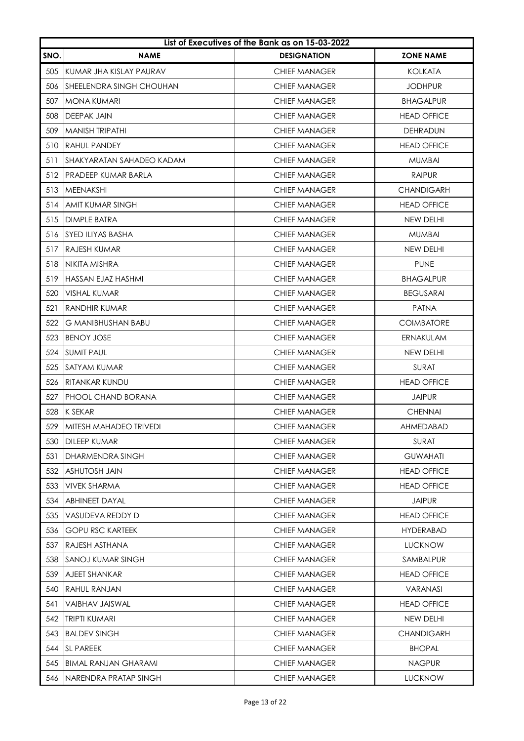|      | List of Executives of the Bank as on 15-03-2022 |                      |                    |  |
|------|-------------------------------------------------|----------------------|--------------------|--|
| SNO. | <b>NAME</b>                                     | <b>DESIGNATION</b>   | <b>ZONE NAME</b>   |  |
| 505  | IKUMAR JHA KISLAY PAURAV                        | <b>CHIEF MANAGER</b> | <b>KOLKATA</b>     |  |
| 506  | SHEELENDRA SINGH CHOUHAN                        | <b>CHIEF MANAGER</b> | <b>JODHPUR</b>     |  |
| 507  | <b>MONA KUMARI</b>                              | <b>CHIEF MANAGER</b> | <b>BHAGALPUR</b>   |  |
| 508  | <b>DEEPAK JAIN</b>                              | <b>CHIEF MANAGER</b> | <b>HEAD OFFICE</b> |  |
| 509  | IMANISH TRIPATHI                                | <b>CHIEF MANAGER</b> | <b>DEHRADUN</b>    |  |
| 510  | IRAHUL PANDEY                                   | <b>CHIEF MANAGER</b> | <b>HEAD OFFICE</b> |  |
| 511  | ISHAKYARATAN SAHADEO KADAM                      | CHIEF MANAGER        | <b>MUMBAI</b>      |  |
| 512  | <b>PRADEEP KUMAR BARLA</b>                      | <b>CHIEF MANAGER</b> | <b>RAIPUR</b>      |  |
| 513  | <b>MEENAKSHI</b>                                | <b>CHIEF MANAGER</b> | <b>CHANDIGARH</b>  |  |
|      | 514 LAMIT KUMAR SINGH                           | <b>CHIEF MANAGER</b> | <b>HEAD OFFICE</b> |  |
| 515  | <b>IDIMPLE BATRA</b>                            | <b>CHIEF MANAGER</b> | NEW DELHI          |  |
| 516  | ISYED ILIYAS BASHA                              | <b>CHIEF MANAGER</b> | <b>MUMBAI</b>      |  |
| 517  | RAJESH KUMAR                                    | <b>CHIEF MANAGER</b> | NEW DELHI          |  |
| 518  | INIKITA MISHRA                                  | <b>CHIEF MANAGER</b> | <b>PUNE</b>        |  |
| 519  | IHASSAN EJAZ HASHMI                             | <b>CHIEF MANAGER</b> | <b>BHAGALPUR</b>   |  |
| 520  | <b>VISHAL KUMAR</b>                             | <b>CHIEF MANAGER</b> | <b>BEGUSARAI</b>   |  |
| 521  | IRANDHIR KUMAR                                  | <b>CHIEF MANAGER</b> | <b>PATNA</b>       |  |
| 522  | G MANIBHUSHAN BABU                              | <b>CHIEF MANAGER</b> | <b>COIMBATORE</b>  |  |
| 523  | <b>IBENOY JOSE</b>                              | <b>CHIEF MANAGER</b> | ERNAKULAM          |  |
| 524  | <b>SUMIT PAUL</b>                               | <b>CHIEF MANAGER</b> | NEW DELHI          |  |
| 525  | ISATYAM KUMAR                                   | <b>CHIEF MANAGER</b> | <b>SURAT</b>       |  |
| 526  | IRITANKAR KUNDU                                 | <b>CHIEF MANAGER</b> | <b>HEAD OFFICE</b> |  |
| 527  | IPHOOL CHAND BORANA                             | <b>CHIEF MANAGER</b> | <b>JAIPUR</b>      |  |
| 528  | <b>K SEKAR</b>                                  | <b>CHIEF MANAGER</b> | <b>CHENNAI</b>     |  |
| 529  | <b>MITESH MAHADEO TRIVEDI</b>                   | <b>CHIEF MANAGER</b> | <b>AHMEDABAD</b>   |  |
| 530  | <b>DILEEP KUMAR</b>                             | <b>CHIEF MANAGER</b> | SURAT              |  |
| 531  | DHARMENDRA SINGH                                | <b>CHIEF MANAGER</b> | <b>GUWAHATI</b>    |  |
| 532  | <b>ASHUTOSH JAIN</b>                            | <b>CHIEF MANAGER</b> | <b>HEAD OFFICE</b> |  |
| 533  | VIVEK SHARMA                                    | <b>CHIEF MANAGER</b> | <b>HEAD OFFICE</b> |  |
| 534  | <b>ABHINEET DAYAL</b>                           | <b>CHIEF MANAGER</b> | <b>JAIPUR</b>      |  |
| 535  | VASUDEVA REDDY D                                | <b>CHIEF MANAGER</b> | <b>HEAD OFFICE</b> |  |
| 536  | <b>GOPU RSC KARTEEK</b>                         | <b>CHIEF MANAGER</b> | <b>HYDERABAD</b>   |  |
| 537  | RAJESH ASTHANA                                  | <b>CHIEF MANAGER</b> | <b>LUCKNOW</b>     |  |
| 538  | SANOJ KUMAR SINGH                               | <b>CHIEF MANAGER</b> | SAMBALPUR          |  |
| 539  | AJEET SHANKAR                                   | <b>CHIEF MANAGER</b> | <b>HEAD OFFICE</b> |  |
| 540  | <b>RAHUL RANJAN</b>                             | <b>CHIEF MANAGER</b> | <b>VARANASI</b>    |  |
| 541  | VAIBHAV JAISWAL                                 | <b>CHIEF MANAGER</b> | <b>HEAD OFFICE</b> |  |
| 542  | <b>TRIPTI KUMARI</b>                            | <b>CHIEF MANAGER</b> | NEW DELHI          |  |
| 543  | <b>BALDEV SINGH</b>                             | <b>CHIEF MANAGER</b> | <b>CHANDIGARH</b>  |  |
| 544  | <b>SL PAREEK</b>                                | <b>CHIEF MANAGER</b> | <b>BHOPAL</b>      |  |
| 545  | <b>BIMAL RANJAN GHARAMI</b>                     | <b>CHIEF MANAGER</b> | <b>NAGPUR</b>      |  |
| 546  | NARENDRA PRATAP SINGH                           | <b>CHIEF MANAGER</b> | <b>LUCKNOW</b>     |  |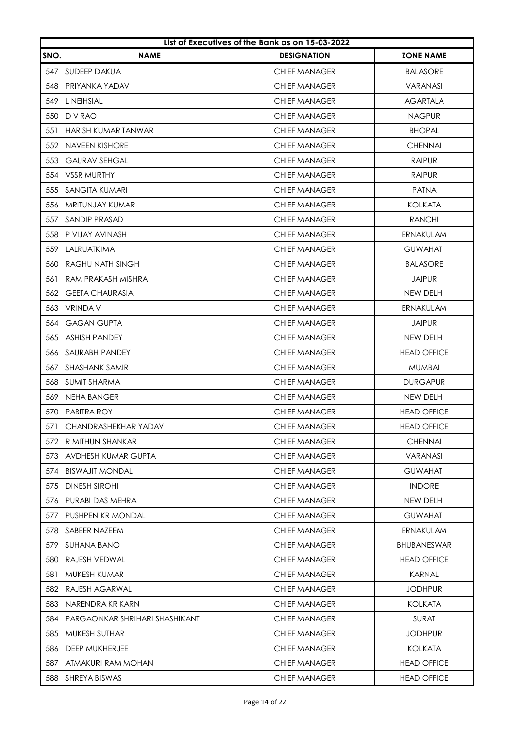|      | List of Executives of the Bank as on 15-03-2022 |                      |                    |  |
|------|-------------------------------------------------|----------------------|--------------------|--|
| SNO. | <b>NAME</b>                                     | <b>DESIGNATION</b>   | <b>ZONE NAME</b>   |  |
| 547  | <b>ISUDEEP DAKUA</b>                            | <b>CHIEF MANAGER</b> | <b>BALASORE</b>    |  |
| 548  | <b>PRIYANKA YADAV</b>                           | <b>CHIEF MANAGER</b> | <b>VARANASI</b>    |  |
| 549  | L NEIHSIAL                                      | <b>CHIEF MANAGER</b> | <b>AGARTALA</b>    |  |
| 550  | <b>D V RAO</b>                                  | <b>CHIEF MANAGER</b> | <b>NAGPUR</b>      |  |
| 551  | IHARISH KUMAR TANWAR                            | <b>CHIEF MANAGER</b> | <b>BHOPAL</b>      |  |
| 552  | Inaveen kishore                                 | <b>CHIEF MANAGER</b> | <b>CHENNAI</b>     |  |
| 553  | <b>GAURAV SEHGAL</b>                            | <b>CHIEF MANAGER</b> | <b>RAIPUR</b>      |  |
| 554  | <b>VSSR MURTHY</b>                              | <b>CHIEF MANAGER</b> | <b>RAIPUR</b>      |  |
| 555  | <b>ISANGITA KUMARI</b>                          | <b>CHIEF MANAGER</b> | <b>PATNA</b>       |  |
| 556  | IMRITUNJAY KUMAR                                | <b>CHIEF MANAGER</b> | <b>KOLKATA</b>     |  |
| 557  | <b>ISANDIP PRASAD</b>                           | <b>CHIEF MANAGER</b> | <b>RANCHI</b>      |  |
| 558  | <b>IP VIJAY AVINASH</b>                         | <b>CHIEF MANAGER</b> | ERNAKULAM          |  |
| 559  | LALRUATKIMA                                     | <b>CHIEF MANAGER</b> | <b>GUWAHATI</b>    |  |
| 560  | <b>RAGHU NATH SINGH</b>                         | <b>CHIEF MANAGER</b> | <b>BALASORE</b>    |  |
| 561  | IRAM PRAKASH MISHRA                             | <b>CHIEF MANAGER</b> | <b>JAIPUR</b>      |  |
| 562  | <b>GEETA CHAURASIA</b>                          | <b>CHIEF MANAGER</b> | NEW DELHI          |  |
| 563  | <b>VRINDA V</b>                                 | <b>CHIEF MANAGER</b> | ERNAKULAM          |  |
| 564  | <b>GAGAN GUPTA</b>                              | <b>CHIEF MANAGER</b> | <b>JAIPUR</b>      |  |
| 565  | <b>IASHISH PANDEY</b>                           | <b>CHIEF MANAGER</b> | NEW DELHI          |  |
| 566  | <b>ISAURABH PANDEY</b>                          | <b>CHIEF MANAGER</b> | <b>HEAD OFFICE</b> |  |
| 567  | ISHASHANK SAMIR                                 | <b>CHIEF MANAGER</b> | <b>MUMBAI</b>      |  |
| 568  | <b>SUMIT SHARMA</b>                             | <b>CHIEF MANAGER</b> | <b>DURGAPUR</b>    |  |
| 569  | INEHA BANGER                                    | <b>CHIEF MANAGER</b> | NEW DELHI          |  |
| 570  | <b>PABITRA ROY</b>                              | <b>CHIEF MANAGER</b> | <b>HEAD OFFICE</b> |  |
| 571  | CHANDRASHEKHAR YADAV                            | <b>CHIEF MANAGER</b> | <b>HEAD OFFICE</b> |  |
| 572  | R MITHUN SHANKAR                                | <b>CHIEF MANAGER</b> | <b>CHENNAI</b>     |  |
| 573  | AVDHESH KUMAR GUPTA                             | <b>CHIEF MANAGER</b> | <b>VARANASI</b>    |  |
| 574  | <b>BISWAJIT MONDAL</b>                          | <b>CHIEF MANAGER</b> | <b>GUWAHATI</b>    |  |
| 575  | <b>DINESH SIROHI</b>                            | <b>CHIEF MANAGER</b> | <b>INDORE</b>      |  |
| 576  | PURABI DAS MEHRA                                | <b>CHIEF MANAGER</b> | NEW DELHI          |  |
| 577  | IPUSHPEN KR MONDAL                              | <b>CHIEF MANAGER</b> | <b>GUWAHATI</b>    |  |
| 578  | <b>SABEER NAZEEM</b>                            | <b>CHIEF MANAGER</b> | ERNAKULAM          |  |
| 579  | <b>SUHANA BANO</b>                              | <b>CHIEF MANAGER</b> | <b>BHUBANESWAR</b> |  |
| 580  | RAJESH VEDWAL                                   | <b>CHIEF MANAGER</b> | <b>HEAD OFFICE</b> |  |
| 581  | MUKESH KUMAR                                    | <b>CHIEF MANAGER</b> | <b>KARNAL</b>      |  |
| 582  | RAJESH AGARWAL                                  | <b>CHIEF MANAGER</b> | <b>JODHPUR</b>     |  |
| 583  | NARENDRA KR KARN                                | <b>CHIEF MANAGER</b> | <b>KOLKATA</b>     |  |
| 584  | PARGAONKAR SHRIHARI SHASHIKANT                  | <b>CHIEF MANAGER</b> | <b>SURAT</b>       |  |
| 585  | MUKESH SUTHAR                                   | <b>CHIEF MANAGER</b> | <b>JODHPUR</b>     |  |
| 586  | DEEP MUKHERJEE                                  | <b>CHIEF MANAGER</b> | <b>KOLKATA</b>     |  |
| 587  | ATMAKURI RAM MOHAN                              | <b>CHIEF MANAGER</b> | <b>HEAD OFFICE</b> |  |
| 588  | SHREYA BISWAS                                   | <b>CHIEF MANAGER</b> | <b>HEAD OFFICE</b> |  |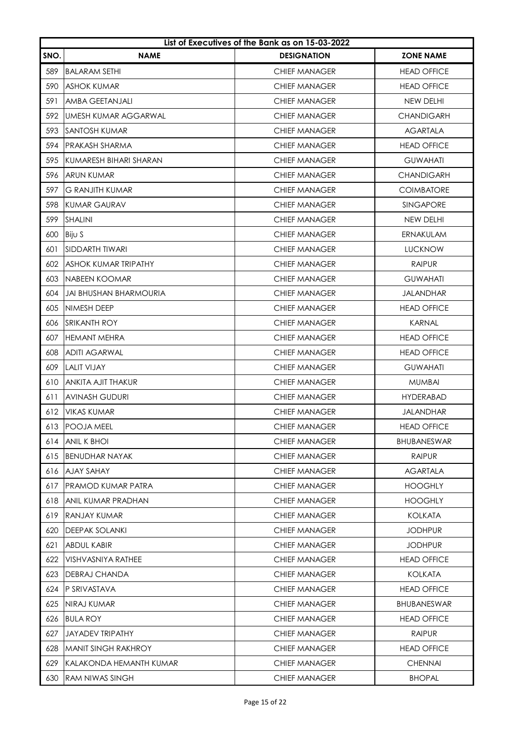|      | List of Executives of the Bank as on 15-03-2022 |                      |                    |  |
|------|-------------------------------------------------|----------------------|--------------------|--|
| SNO. | <b>NAME</b>                                     | <b>DESIGNATION</b>   | <b>ZONE NAME</b>   |  |
| 589  | <b>BALARAM SETHI</b>                            | <b>CHIEF MANAGER</b> | <b>HEAD OFFICE</b> |  |
| 590  | <b>ASHOK KUMAR</b>                              | <b>CHIEF MANAGER</b> | <b>HEAD OFFICE</b> |  |
| 591  | AMBA GEETANJALI                                 | <b>CHIEF MANAGER</b> | NEW DELHI          |  |
| 592  | UMESH KUMAR AGGARWAL                            | <b>CHIEF MANAGER</b> | <b>CHANDIGARH</b>  |  |
| 593  | <b>ISANTOSH KUMAR</b>                           | <b>CHIEF MANAGER</b> | <b>AGARTALA</b>    |  |
| 594  | <b>PRAKASH SHARMA</b>                           | <b>CHIEF MANAGER</b> | <b>HEAD OFFICE</b> |  |
| 595  | KUMARESH BIHARI SHARAN                          | <b>CHIEF MANAGER</b> | <b>GUWAHATI</b>    |  |
| 596  | ARUN KUMAR                                      | <b>CHIEF MANAGER</b> | <b>CHANDIGARH</b>  |  |
| 597  | G RANJITH KUMAR                                 | <b>CHIEF MANAGER</b> | <b>COIMBATORE</b>  |  |
| 598  | IKUMAR GAURAV                                   | <b>CHIEF MANAGER</b> | <b>SINGAPORE</b>   |  |
| 599  | <b>SHALINI</b>                                  | <b>CHIEF MANAGER</b> | <b>NEW DELHI</b>   |  |
| 600  | Biju S                                          | <b>CHIEF MANAGER</b> | ERNAKULAM          |  |
| 601  | <b>SIDDARTH TIWARI</b>                          | <b>CHIEF MANAGER</b> | <b>LUCKNOW</b>     |  |
| 602  | <b>ASHOK KUMAR TRIPATHY</b>                     | <b>CHIEF MANAGER</b> | <b>RAIPUR</b>      |  |
| 603  | INABEEN KOOMAR                                  | <b>CHIEF MANAGER</b> | <b>GUWAHATI</b>    |  |
| 604  | JAI BHUSHAN BHARMOURIA                          | <b>CHIEF MANAGER</b> | <b>JALANDHAR</b>   |  |
| 605  | NIMESH DEEP                                     | <b>CHIEF MANAGER</b> | <b>HEAD OFFICE</b> |  |
| 606  | SRIKANTH ROY                                    | <b>CHIEF MANAGER</b> | <b>KARNAL</b>      |  |
| 607  | HEMANT MEHRA                                    | <b>CHIEF MANAGER</b> | <b>HEAD OFFICE</b> |  |
| 608  | <b>ADITI AGARWAL</b>                            | <b>CHIEF MANAGER</b> | <b>HEAD OFFICE</b> |  |
| 609  | <b>LALIT VIJAY</b>                              | <b>CHIEF MANAGER</b> | <b>GUWAHATI</b>    |  |
| 610  | IANKITA AJIT THAKUR                             | <b>CHIEF MANAGER</b> | <b>MUMBAI</b>      |  |
| 611  | <b>AVINASH GUDURI</b>                           | <b>CHIEF MANAGER</b> | <b>HYDERABAD</b>   |  |
| 612  | <b>VIKAS KUMAR</b>                              | <b>CHIEF MANAGER</b> | <b>JALANDHAR</b>   |  |
| 613  | POOJA MEEL                                      | <b>CHIEF MANAGER</b> | <b>HEAD OFFICE</b> |  |
| 614  | ANIL K BHOI                                     | <b>CHIEF MANAGER</b> | <b>BHUBANESWAR</b> |  |
| 615  | <b>BENUDHAR NAYAK</b>                           | <b>CHIEF MANAGER</b> | <b>RAIPUR</b>      |  |
| 616  | <b>AJAY SAHAY</b>                               | <b>CHIEF MANAGER</b> | <b>AGARTALA</b>    |  |
| 617  | <b>PRAMOD KUMAR PATRA</b>                       | <b>CHIEF MANAGER</b> | <b>HOOGHLY</b>     |  |
| 618  | ANIL KUMAR PRADHAN                              | <b>CHIEF MANAGER</b> | <b>HOOGHLY</b>     |  |
| 619  | RANJAY KUMAR                                    | <b>CHIEF MANAGER</b> | <b>KOLKATA</b>     |  |
| 620  | <b>DEEPAK SOLANKI</b>                           | <b>CHIEF MANAGER</b> | <b>JODHPUR</b>     |  |
| 621  | <b>ABDUL KABIR</b>                              | <b>CHIEF MANAGER</b> | <b>JODHPUR</b>     |  |
| 622  | VISHVASNIYA RATHEE                              | <b>CHIEF MANAGER</b> | <b>HEAD OFFICE</b> |  |
| 623  | <b>DEBRAJ CHANDA</b>                            | <b>CHIEF MANAGER</b> | <b>KOLKATA</b>     |  |
| 624  | <b>P SRIVASTAVA</b>                             | <b>CHIEF MANAGER</b> | <b>HEAD OFFICE</b> |  |
| 625  | <b>NIRAJ KUMAR</b>                              | <b>CHIEF MANAGER</b> | <b>BHUBANESWAR</b> |  |
| 626  | <b>BULA ROY</b>                                 | <b>CHIEF MANAGER</b> | <b>HEAD OFFICE</b> |  |
| 627  | <b>JAYADEV TRIPATHY</b>                         | <b>CHIEF MANAGER</b> | <b>RAIPUR</b>      |  |
| 628  | <b>MANIT SINGH RAKHROY</b>                      | <b>CHIEF MANAGER</b> | <b>HEAD OFFICE</b> |  |
| 629  | KALAKONDA HEMANTH KUMAR                         | <b>CHIEF MANAGER</b> | <b>CHENNAI</b>     |  |
| 630  | <b>RAM NIWAS SINGH</b>                          | <b>CHIEF MANAGER</b> | <b>BHOPAL</b>      |  |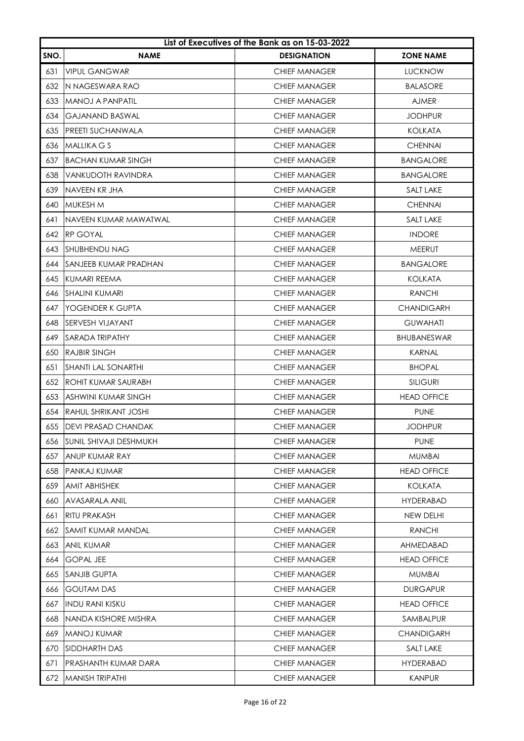|      | List of Executives of the Bank as on 15-03-2022 |                      |                    |  |
|------|-------------------------------------------------|----------------------|--------------------|--|
| SNO. | <b>NAME</b>                                     | <b>DESIGNATION</b>   | <b>ZONE NAME</b>   |  |
| 631  | <b>VIPUL GANGWAR</b>                            | <b>CHIEF MANAGER</b> | <b>LUCKNOW</b>     |  |
| 632  | IN NAGESWARA RAO                                | CHIEF MANAGER        | BALASORE           |  |
| 633  | <b>MANOJ A PANPATIL</b>                         | <b>CHIEF MANAGER</b> | <b>AJMER</b>       |  |
| 634  | <b>GAJANAND BASWAL</b>                          | <b>CHIEF MANAGER</b> | <b>JODHPUR</b>     |  |
| 635  | <b>IPREETI SUCHANWALA</b>                       | <b>CHIEF MANAGER</b> | <b>KOLKATA</b>     |  |
| 636  | MALLIKA G S                                     | <b>CHIEF MANAGER</b> | <b>CHENNAI</b>     |  |
| 637  | IBACHAN KUMAR SINGH                             | <b>CHIEF MANAGER</b> | <b>BANGALORE</b>   |  |
| 638  | VANKUDOTH RAVINDRA                              | <b>CHIEF MANAGER</b> | <b>BANGALORE</b>   |  |
| 639  | INAVEEN KR JHA                                  | <b>CHIEF MANAGER</b> | <b>SALT LAKE</b>   |  |
| 640  | <b>MUKESH M</b>                                 | <b>CHIEF MANAGER</b> | <b>CHENNAI</b>     |  |
| 641  | INAVEEN KUMAR MAWATWAL                          | <b>CHIEF MANAGER</b> | <b>SALT LAKE</b>   |  |
|      | 642 RP GOYAL                                    | <b>CHIEF MANAGER</b> | <b>INDORE</b>      |  |
| 643  | ISHUBHENDU NAG                                  | <b>CHIEF MANAGER</b> | <b>MEERUT</b>      |  |
| 644  | ISANJEEB KUMAR PRADHAN                          | <b>CHIEF MANAGER</b> | <b>BANGALORE</b>   |  |
| 645  | KUMARI REEMA                                    | <b>CHIEF MANAGER</b> | <b>KOLKATA</b>     |  |
| 646  | ISHALINI KUMARI                                 | <b>CHIEF MANAGER</b> | <b>RANCHI</b>      |  |
| 647  | YOGENDER K GUPTA                                | <b>CHIEF MANAGER</b> | <b>CHANDIGARH</b>  |  |
| 648  | ISERVESH VIJAYANT                               | <b>CHIEF MANAGER</b> | <b>GUWAHATI</b>    |  |
| 649  | ISARADA TRIPATHY                                | <b>CHIEF MANAGER</b> | <b>BHUBANESWAR</b> |  |
| 650  | <b>RAJBIR SINGH</b>                             | <b>CHIEF MANAGER</b> | <b>KARNAL</b>      |  |
| 651  | Ishanti lal sonarthi                            | <b>CHIEF MANAGER</b> | <b>BHOPAL</b>      |  |
|      | 652 ROHIT KUMAR SAURABH                         | <b>CHIEF MANAGER</b> | <b>SILIGURI</b>    |  |
| 653  | ASHWINI KUMAR SINGH                             | <b>CHIEF MANAGER</b> | <b>HEAD OFFICE</b> |  |
| 654  | IRAHUL SHRIKANT JOSHI                           | <b>CHIEF MANAGER</b> | <b>PUNE</b>        |  |
| 655  | DEVI PRASAD CHANDAK                             | <b>CHIEF MANAGER</b> | <b>JODHPUR</b>     |  |
| 656  | SUNIL SHIVAJI DESHMUKH                          | <b>CHIEF MANAGER</b> | <b>PUNE</b>        |  |
| 657  | ANUP KUMAR RAY                                  | <b>CHIEF MANAGER</b> | <b>MUMBAI</b>      |  |
| 658  | PANKAJ KUMAR                                    | <b>CHIEF MANAGER</b> | <b>HEAD OFFICE</b> |  |
| 659  | <b>AMIT ABHISHEK</b>                            | <b>CHIEF MANAGER</b> | <b>KOLKATA</b>     |  |
| 660  | <b>AVASARALA ANIL</b>                           | <b>CHIEF MANAGER</b> | <b>HYDERABAD</b>   |  |
| 661  | RITU PRAKASH                                    | <b>CHIEF MANAGER</b> | NEW DELHI          |  |
| 662  | SAMIT KUMAR MANDAL                              | <b>CHIEF MANAGER</b> | <b>RANCHI</b>      |  |
| 663  | ANIL KUMAR                                      | <b>CHIEF MANAGER</b> | <b>AHMEDABAD</b>   |  |
| 664  | <b>GOPAL JEE</b>                                | <b>CHIEF MANAGER</b> | <b>HEAD OFFICE</b> |  |
| 665  | <b>SANJIB GUPTA</b>                             | <b>CHIEF MANAGER</b> | <b>MUMBAI</b>      |  |
| 666  | <b>GOUTAM DAS</b>                               | <b>CHIEF MANAGER</b> | <b>DURGAPUR</b>    |  |
| 667  | <b>INDU RANI KISKU</b>                          | <b>CHIEF MANAGER</b> | <b>HEAD OFFICE</b> |  |
| 668  | NANDA KISHORE MISHRA                            | <b>CHIEF MANAGER</b> | SAMBALPUR          |  |
| 669  | <b>MANOJ KUMAR</b>                              | <b>CHIEF MANAGER</b> | <b>CHANDIGARH</b>  |  |
| 670  | <b>SIDDHARTH DAS</b>                            | <b>CHIEF MANAGER</b> | <b>SALT LAKE</b>   |  |
| 671  | PRASHANTH KUMAR DARA                            | <b>CHIEF MANAGER</b> | <b>HYDERABAD</b>   |  |
| 672  | MANISH TRIPATHI                                 | <b>CHIEF MANAGER</b> | <b>KANPUR</b>      |  |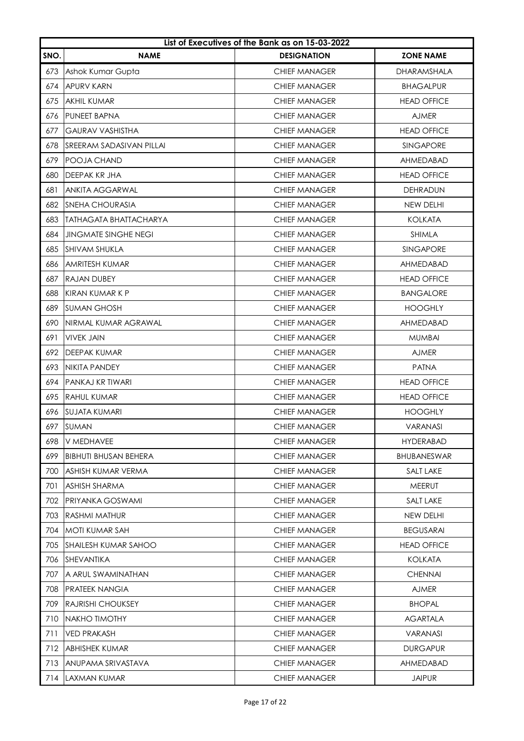|      | List of Executives of the Bank as on 15-03-2022 |                      |                    |  |
|------|-------------------------------------------------|----------------------|--------------------|--|
| SNO. | <b>NAME</b>                                     | <b>DESIGNATION</b>   | <b>ZONE NAME</b>   |  |
| 673  | Ashok Kumar Gupta                               | <b>CHIEF MANAGER</b> | <b>DHARAMSHALA</b> |  |
| 674  | APURV KARN                                      | <b>CHIEF MANAGER</b> | <b>BHAGALPUR</b>   |  |
| 675  | AKHIL KUMAR                                     | <b>CHIEF MANAGER</b> | <b>HEAD OFFICE</b> |  |
| 676  | IPUNEET BAPNA                                   | <b>CHIEF MANAGER</b> | <b>AJMER</b>       |  |
| 677  | <b>GAURAV VASHISTHA</b>                         | <b>CHIEF MANAGER</b> | <b>HEAD OFFICE</b> |  |
| 678  | <b>SREERAM SADASIVAN PILLAI</b>                 | <b>CHIEF MANAGER</b> | <b>SINGAPORE</b>   |  |
| 679  | IPOOJA CHAND                                    | <b>CHIEF MANAGER</b> | <b>AHMEDABAD</b>   |  |
| 680  | DEEPAK KR JHA                                   | <b>CHIEF MANAGER</b> | <b>HEAD OFFICE</b> |  |
| 681  | ANKITA AGGARWAL                                 | <b>CHIEF MANAGER</b> | <b>DEHRADUN</b>    |  |
| 682  | <b>SNEHA CHOURASIA</b>                          | <b>CHIEF MANAGER</b> | NEW DELHI          |  |
| 683  | <b>TATHAGATA BHATTACHARYA</b>                   | <b>CHIEF MANAGER</b> | <b>KOLKATA</b>     |  |
| 684  | <b>JINGMATE SINGHE NEGI</b>                     | <b>CHIEF MANAGER</b> | <b>SHIMLA</b>      |  |
| 685  | SHIVAM SHUKLA                                   | <b>CHIEF MANAGER</b> | <b>SINGAPORE</b>   |  |
| 686  | AMRITESH KUMAR                                  | <b>CHIEF MANAGER</b> | AHMEDABAD          |  |
| 687  | <b>RAJAN DUBEY</b>                              | <b>CHIEF MANAGER</b> | <b>HEAD OFFICE</b> |  |
| 688  | KIRAN KUMAR K P                                 | <b>CHIEF MANAGER</b> | <b>BANGALORE</b>   |  |
| 689  | ISUMAN GHOSH                                    | <b>CHIEF MANAGER</b> | <b>HOOGHLY</b>     |  |
| 690  | NIRMAL KUMAR AGRAWAL                            | <b>CHIEF MANAGER</b> | <b>AHMEDABAD</b>   |  |
| 691  | <b>VIVEK JAIN</b>                               | <b>CHIEF MANAGER</b> | <b>MUMBAI</b>      |  |
| 692  | <b>DEEPAK KUMAR</b>                             | <b>CHIEF MANAGER</b> | <b>AJMER</b>       |  |
| 693  | NIKITA PANDEY                                   | <b>CHIEF MANAGER</b> | <b>PATNA</b>       |  |
| 694  | <b>PANKAJ KR TIWARI</b>                         | <b>CHIEF MANAGER</b> | <b>HEAD OFFICE</b> |  |
| 695  | <b>RAHUL KUMAR</b>                              | <b>CHIEF MANAGER</b> | <b>HEAD OFFICE</b> |  |
| 696  | <b>SUJATA KUMARI</b>                            | <b>CHIEF MANAGER</b> | <b>HOOGHLY</b>     |  |
| 697  | SUMAN                                           | <b>CHIEF MANAGER</b> | <b>VARANASI</b>    |  |
| 698  | V MEDHAVEE                                      | <b>CHIEF MANAGER</b> | <b>HYDERABAD</b>   |  |
| 699  | <b>BIBHUTI BHUSAN BEHERA</b>                    | <b>CHIEF MANAGER</b> | <b>BHUBANESWAR</b> |  |
| 700  | ASHISH KUMAR VERMA                              | <b>CHIEF MANAGER</b> | <b>SALT LAKE</b>   |  |
| 701  | ASHISH SHARMA                                   | <b>CHIEF MANAGER</b> | <b>MEERUT</b>      |  |
| 702  | PRIYANKA GOSWAMI                                | <b>CHIEF MANAGER</b> | SALT LAKE          |  |
| 703  | RASHMI MATHUR                                   | <b>CHIEF MANAGER</b> | NEW DELHI          |  |
| 704  | <b>MOTI KUMAR SAH</b>                           | <b>CHIEF MANAGER</b> | <b>BEGUSARAI</b>   |  |
| 705  | <b>SHAILESH KUMAR SAHOO</b>                     | <b>CHIEF MANAGER</b> | <b>HEAD OFFICE</b> |  |
| 706  | SHEVANTIKA                                      | <b>CHIEF MANAGER</b> | <b>KOLKATA</b>     |  |
| 707  | A ARUL SWAMINATHAN                              | <b>CHIEF MANAGER</b> | <b>CHENNAI</b>     |  |
| 708  | <b>PRATEEK NANGIA</b>                           | <b>CHIEF MANAGER</b> | <b>AJMER</b>       |  |
| 709  | RAJRISHI CHOUKSEY                               | <b>CHIEF MANAGER</b> | <b>BHOPAL</b>      |  |
| 710  | <b>NAKHO TIMOTHY</b>                            | CHIEF MANAGER        | <b>AGARTALA</b>    |  |
| 711  | <b>VED PRAKASH</b>                              | <b>CHIEF MANAGER</b> | <b>VARANASI</b>    |  |
| 712  | ABHISHEK KUMAR                                  | <b>CHIEF MANAGER</b> | <b>DURGAPUR</b>    |  |
| 713  | ANUPAMA SRIVASTAVA                              | <b>CHIEF MANAGER</b> | <b>AHMEDABAD</b>   |  |
| 714  | LAXMAN KUMAR                                    | <b>CHIEF MANAGER</b> | <b>JAIPUR</b>      |  |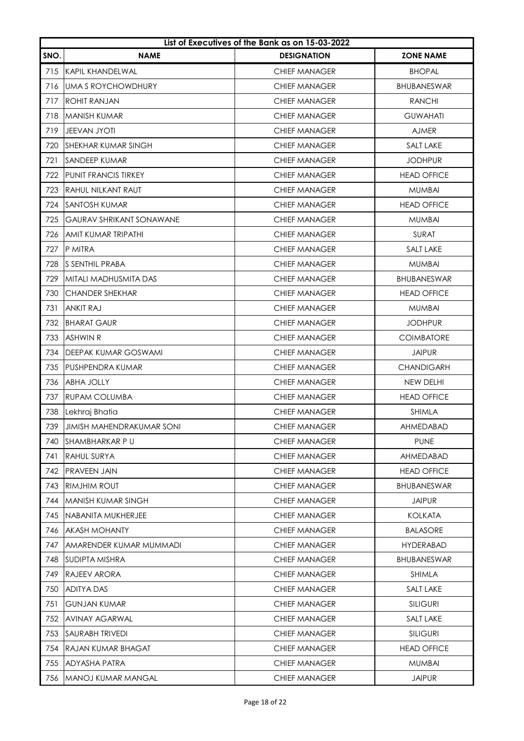|      | List of Executives of the Bank as on 15-03-2022 |                      |                    |  |
|------|-------------------------------------------------|----------------------|--------------------|--|
| SNO. | <b>NAME</b>                                     | <b>DESIGNATION</b>   | <b>ZONE NAME</b>   |  |
| 715  | <b>KAPIL KHANDELWAL</b>                         | <b>CHIEF MANAGER</b> | <b>BHOPAL</b>      |  |
| 716  | UMA S ROYCHOWDHURY                              | <b>CHIEF MANAGER</b> | <b>BHUBANESWAR</b> |  |
| 717  | <b>ROHIT RANJAN</b>                             | <b>CHIEF MANAGER</b> | <b>RANCHI</b>      |  |
| 718  | MANISH KUMAR                                    | <b>CHIEF MANAGER</b> | <b>GUWAHATI</b>    |  |
| 719  | <b>JEEVAN JYOTI</b>                             | <b>CHIEF MANAGER</b> | <b>AJMER</b>       |  |
| 720  | ISHEKHAR KUMAR SINGH                            | <b>CHIEF MANAGER</b> | <b>SALT LAKE</b>   |  |
| 721  | <b>SANDEEP KUMAR</b>                            | <b>CHIEF MANAGER</b> | <b>JODHPUR</b>     |  |
| 722  | IPUNIT FRANCIS TIRKEY                           | <b>CHIEF MANAGER</b> | <b>HEAD OFFICE</b> |  |
| 723  | RAHUL NILKANT RAUT                              | <b>CHIEF MANAGER</b> | <b>MUMBAI</b>      |  |
| 724  | SANTOSH KUMAR                                   | <b>CHIEF MANAGER</b> | <b>HEAD OFFICE</b> |  |
| 725  | <b>GAURAV SHRIKANT SONAWANE</b>                 | <b>CHIEF MANAGER</b> | <b>MUMBAI</b>      |  |
| 726  | AMIT KUMAR TRIPATHI                             | <b>CHIEF MANAGER</b> | <b>SURAT</b>       |  |
| 727  | P MITRA                                         | <b>CHIEF MANAGER</b> | <b>SALT LAKE</b>   |  |
| 728  | S SENTHIL PRABA                                 | <b>CHIEF MANAGER</b> | <b>MUMBAI</b>      |  |
| 729  | MITALI MADHUSMITA DAS                           | <b>CHIEF MANAGER</b> | <b>BHUBANESWAR</b> |  |
| 730  | <b>CHANDER SHEKHAR</b>                          | <b>CHIEF MANAGER</b> | <b>HEAD OFFICE</b> |  |
| 731  | <b>ANKIT RAJ</b>                                | <b>CHIEF MANAGER</b> | <b>MUMBAI</b>      |  |
| 732  | <b>BHARAT GAUR</b>                              | <b>CHIEF MANAGER</b> | <b>JODHPUR</b>     |  |
| 733  | ASHWIN R                                        | <b>CHIEF MANAGER</b> | <b>COIMBATORE</b>  |  |
|      | 734   DEEPAK KUMAR GOSWAMI                      | <b>CHIEF MANAGER</b> | <b>JAIPUR</b>      |  |
| 735  | <b>PUSHPENDRA KUMAR</b>                         | <b>CHIEF MANAGER</b> | <b>CHANDIGARH</b>  |  |
| 736  | <b>ABHA JOLLY</b>                               | <b>CHIEF MANAGER</b> | NEW DELHI          |  |
| 737  | RUPAM COLUMBA                                   | <b>CHIEF MANAGER</b> | <b>HEAD OFFICE</b> |  |
| 738  | Lekhraj Bhatia                                  | <b>CHIEF MANAGER</b> | <b>SHIMLA</b>      |  |
| 739  | <b>JIMISH MAHENDRAKUMAR SONI</b>                | <b>CHIEF MANAGER</b> | AHMEDABAD          |  |
| 740  | SHAMBHARKAR PU                                  | <b>CHIEF MANAGER</b> | <b>PUNE</b>        |  |
| 741  | RAHUL SURYA                                     | <b>CHIEF MANAGER</b> | AHMEDABAD          |  |
| 742  | <b>PRAVEEN JAIN</b>                             | <b>CHIEF MANAGER</b> | <b>HEAD OFFICE</b> |  |
| 743  | RIMJHIM ROUT                                    | <b>CHIEF MANAGER</b> | <b>BHUBANESWAR</b> |  |
| 744  | MANISH KUMAR SINGH                              | <b>CHIEF MANAGER</b> | <b>JAIPUR</b>      |  |
| 745  | NABANITA MUKHERJEE                              | <b>CHIEF MANAGER</b> | <b>KOLKATA</b>     |  |
| 746  | <b>AKASH MOHANTY</b>                            | <b>CHIEF MANAGER</b> | <b>BALASORE</b>    |  |
| 747  | AMARENDER KUMAR MUMMADI                         | <b>CHIEF MANAGER</b> | <b>HYDERABAD</b>   |  |
| 748  | <b>SUDIPTA MISHRA</b>                           | <b>CHIEF MANAGER</b> | <b>BHUBANESWAR</b> |  |
| 749  | <b>RAJEEV ARORA</b>                             | <b>CHIEF MANAGER</b> | <b>SHIMLA</b>      |  |
| 750  | <b>ADITYA DAS</b>                               | <b>CHIEF MANAGER</b> | SALT LAKE          |  |
| 751  | <b>GUNJAN KUMAR</b>                             | <b>CHIEF MANAGER</b> | <b>SILIGURI</b>    |  |
| 752  | AVINAY AGARWAL                                  | <b>CHIEF MANAGER</b> | <b>SALT LAKE</b>   |  |
| 753  | SAURABH TRIVEDI                                 | <b>CHIEF MANAGER</b> | <b>SILIGURI</b>    |  |
| 754  | RAJAN KUMAR BHAGAT                              | <b>CHIEF MANAGER</b> | <b>HEAD OFFICE</b> |  |
| 755  | ADYASHA PATRA                                   | <b>CHIEF MANAGER</b> | <b>MUMBAI</b>      |  |
| 756  | <b>MANOJ KUMAR MANGAL</b>                       | <b>CHIEF MANAGER</b> | <b>JAIPUR</b>      |  |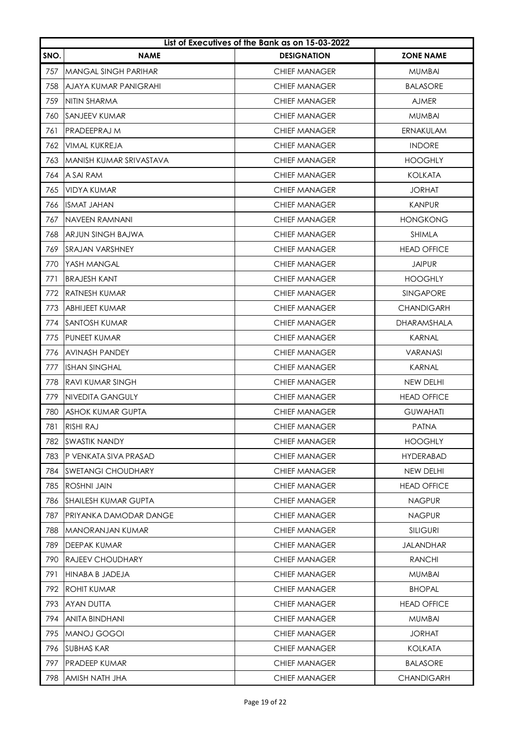|      | List of Executives of the Bank as on 15-03-2022 |                      |                    |  |
|------|-------------------------------------------------|----------------------|--------------------|--|
| SNO. | <b>NAME</b>                                     | <b>DESIGNATION</b>   | <b>ZONE NAME</b>   |  |
| 757  | MANGAL SINGH PARIHAR                            | <b>CHIEF MANAGER</b> | <b>MUMBAI</b>      |  |
| 758  | AJAYA KUMAR PANIGRAHI                           | <b>CHIEF MANAGER</b> | BALASORE           |  |
| 759  | NITIN SHARMA                                    | <b>CHIEF MANAGER</b> | <b>AJMER</b>       |  |
| 760  | ISANJEEV KUMAR                                  | <b>CHIEF MANAGER</b> | <b>MUMBAI</b>      |  |
| 761  | <b>PRADEEPRAJ M</b>                             | <b>CHIEF MANAGER</b> | ERNAKULAM          |  |
| 762  | <b>VIMAL KUKREJA</b>                            | <b>CHIEF MANAGER</b> | <b>INDORE</b>      |  |
| 763  | IMANISH KUMAR SRIVASTAVA                        | <b>CHIEF MANAGER</b> | <b>HOOGHLY</b>     |  |
| 764  | A SAI RAM                                       | <b>CHIEF MANAGER</b> | <b>KOLKATA</b>     |  |
| 765  | VIDYA KUMAR                                     | <b>CHIEF MANAGER</b> | <b>JORHAT</b>      |  |
| 766  | ISMAT JAHAN                                     | <b>CHIEF MANAGER</b> | <b>KANPUR</b>      |  |
| 767  | <b>NAVEEN RAMNANI</b>                           | <b>CHIEF MANAGER</b> | <b>HONGKONG</b>    |  |
| 768  | ARJUN SINGH BAJWA                               | <b>CHIEF MANAGER</b> | <b>SHIMLA</b>      |  |
| 769  | ISRAJAN VARSHNEY                                | <b>CHIEF MANAGER</b> | <b>HEAD OFFICE</b> |  |
| 770  | YASH MANGAL                                     | <b>CHIEF MANAGER</b> | <b>JAIPUR</b>      |  |
| 771  | <b>BRAJESH KANT</b>                             | <b>CHIEF MANAGER</b> | <b>HOOGHLY</b>     |  |
| 772  | <b>RATNESH KUMAR</b>                            | <b>CHIEF MANAGER</b> | <b>SINGAPORE</b>   |  |
| 773  | ABHIJEET KUMAR                                  | <b>CHIEF MANAGER</b> | <b>CHANDIGARH</b>  |  |
| 774  | ISANTOSH KUMAR                                  | <b>CHIEF MANAGER</b> | <b>DHARAMSHALA</b> |  |
| 775  | IPUNEET KUMAR                                   | <b>CHIEF MANAGER</b> | KARNAL             |  |
| 776  | <b>AVINASH PANDEY</b>                           | <b>CHIEF MANAGER</b> | <b>VARANASI</b>    |  |
| 777  | <b>ISHAN SINGHAL</b>                            | <b>CHIEF MANAGER</b> | <b>KARNAL</b>      |  |
| 778  | IRAVI KUMAR SINGH                               | <b>CHIEF MANAGER</b> | NEW DELHI          |  |
| 779  | NIVEDITA GANGULY                                | <b>CHIEF MANAGER</b> | <b>HEAD OFFICE</b> |  |
| 780  | ASHOK KUMAR GUPTA                               | <b>CHIEF MANAGER</b> | <b>GUWAHATI</b>    |  |
| 781  | <b>RISHI RAJ</b>                                | <b>CHIEF MANAGER</b> | <b>PATNA</b>       |  |
| 782  | <b>SWASTIK NANDY</b>                            | <b>CHIEF MANAGER</b> | <b>HOOGHLY</b>     |  |
| 783  | P VENKATA SIVA PRASAD                           | <b>CHIEF MANAGER</b> | <b>HYDERABAD</b>   |  |
| 784  | <b>SWETANGI CHOUDHARY</b>                       | <b>CHIEF MANAGER</b> | NEW DELHI          |  |
| 785  | <b>ROSHNI JAIN</b>                              | <b>CHIEF MANAGER</b> | <b>HEAD OFFICE</b> |  |
| 786  | <b>SHAILESH KUMAR GUPTA</b>                     | <b>CHIEF MANAGER</b> | <b>NAGPUR</b>      |  |
| 787  | PRIYANKA DAMODAR DANGE                          | <b>CHIEF MANAGER</b> | <b>NAGPUR</b>      |  |
| 788  | <b>MANORANJAN KUMAR</b>                         | <b>CHIEF MANAGER</b> | <b>SILIGURI</b>    |  |
| 789  | DEEPAK KUMAR                                    | <b>CHIEF MANAGER</b> | <b>JALANDHAR</b>   |  |
| 790  | <b>RAJEEV CHOUDHARY</b>                         | <b>CHIEF MANAGER</b> | <b>RANCHI</b>      |  |
| 791  | HINABA B JADEJA                                 | <b>CHIEF MANAGER</b> | <b>MUMBAI</b>      |  |
| 792  | <b>ROHIT KUMAR</b>                              | <b>CHIEF MANAGER</b> | <b>BHOPAL</b>      |  |
| 793  | AYAN DUTTA                                      | <b>CHIEF MANAGER</b> | <b>HEAD OFFICE</b> |  |
| 794  | ANITA BINDHANI                                  | <b>CHIEF MANAGER</b> | <b>MUMBAI</b>      |  |
| 795  | MANOJ GOGOI                                     | <b>CHIEF MANAGER</b> | <b>JORHAT</b>      |  |
| 796  | <b>SUBHAS KAR</b>                               | <b>CHIEF MANAGER</b> | <b>KOLKATA</b>     |  |
| 797  | PRADEEP KUMAR                                   | <b>CHIEF MANAGER</b> | <b>BALASORE</b>    |  |
| 798  | AMISH NATH JHA                                  | <b>CHIEF MANAGER</b> | <b>CHANDIGARH</b>  |  |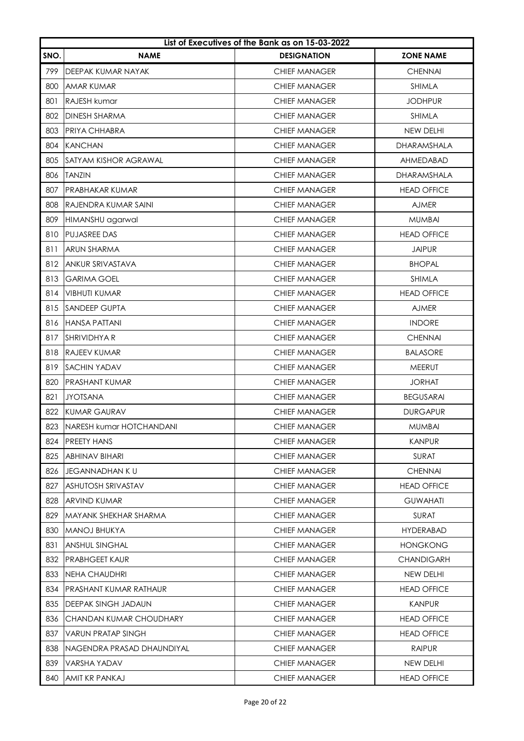|      | List of Executives of the Bank as on 15-03-2022 |                      |                    |  |
|------|-------------------------------------------------|----------------------|--------------------|--|
| SNO. | <b>NAME</b>                                     | <b>DESIGNATION</b>   | <b>ZONE NAME</b>   |  |
| 799  | DEEPAK KUMAR NAYAK                              | <b>CHIEF MANAGER</b> | <b>CHENNAI</b>     |  |
| 800  | AMAR KUMAR                                      | <b>CHIEF MANAGER</b> | <b>SHIMLA</b>      |  |
| 801  | <b>RAJESH kumar</b>                             | <b>CHIEF MANAGER</b> | <b>JODHPUR</b>     |  |
| 802  | DINESH SHARMA                                   | <b>CHIEF MANAGER</b> | <b>SHIMLA</b>      |  |
| 803  | PRIYA CHHABRA                                   | <b>CHIEF MANAGER</b> | <b>NEW DELHI</b>   |  |
| 804  | <b>KANCHAN</b>                                  | <b>CHIEF MANAGER</b> | <b>DHARAMSHALA</b> |  |
| 805  | <b>SATYAM KISHOR AGRAWAL</b>                    | <b>CHIEF MANAGER</b> | AHMEDABAD          |  |
| 806  | <b>TANZIN</b>                                   | <b>CHIEF MANAGER</b> | <b>DHARAMSHALA</b> |  |
| 807  | <b>PRABHAKAR KUMAR</b>                          | <b>CHIEF MANAGER</b> | <b>HEAD OFFICE</b> |  |
| 808  | RAJENDRA KUMAR SAINI                            | <b>CHIEF MANAGER</b> | <b>AJMER</b>       |  |
| 809  | HIMANSHU agarwal                                | <b>CHIEF MANAGER</b> | <b>MUMBAI</b>      |  |
| 810  | <b>PUJASREE DAS</b>                             | <b>CHIEF MANAGER</b> | <b>HEAD OFFICE</b> |  |
| 811  | <b>ARUN SHARMA</b>                              | <b>CHIEF MANAGER</b> | <b>JAIPUR</b>      |  |
| 812  | ANKUR SRIVASTAVA                                | <b>CHIEF MANAGER</b> | <b>BHOPAL</b>      |  |
| 813  | <b>GARIMA GOEL</b>                              | <b>CHIEF MANAGER</b> | <b>SHIMLA</b>      |  |
| 814  | <b>VIBHUTI KUMAR</b>                            | <b>CHIEF MANAGER</b> | <b>HEAD OFFICE</b> |  |
| 815  | <b>SANDEEP GUPTA</b>                            | <b>CHIEF MANAGER</b> | <b>AJMER</b>       |  |
| 816  | <b>HANSA PATTANI</b>                            | <b>CHIEF MANAGER</b> | <b>INDORE</b>      |  |
| 817  | ISHRIVIDHYA R                                   | <b>CHIEF MANAGER</b> | <b>CHENNAI</b>     |  |
| 818  | <b>RAJEEV KUMAR</b>                             | <b>CHIEF MANAGER</b> | <b>BALASORE</b>    |  |
| 819  | <b>SACHIN YADAV</b>                             | <b>CHIEF MANAGER</b> | MEERUT             |  |
| 820  | <b>PRASHANT KUMAR</b>                           | <b>CHIEF MANAGER</b> | <b>JORHAT</b>      |  |
| 821  | <b>JYOTSANA</b>                                 | <b>CHIEF MANAGER</b> | <b>BEGUSARAI</b>   |  |
| 822  | <b>KUMAR GAURAV</b>                             | <b>CHIEF MANAGER</b> | <b>DURGAPUR</b>    |  |
| 823  | NARESH kumar HOTCHANDANI                        | <b>CHIEF MANAGER</b> | <b>MUMBAI</b>      |  |
| 824  | PREETY HANS                                     | <b>CHIEF MANAGER</b> | <b>KANPUR</b>      |  |
| 825  | ABHINAV BIHARI                                  | <b>CHIEF MANAGER</b> | <b>SURAT</b>       |  |
| 826  | <b>JEGANNADHAN KU</b>                           | <b>CHIEF MANAGER</b> | <b>CHENNAI</b>     |  |
| 827  | ASHUTOSH SRIVASTAV                              | <b>CHIEF MANAGER</b> | <b>HEAD OFFICE</b> |  |
| 828  | ARVIND KUMAR                                    | <b>CHIEF MANAGER</b> | <b>GUWAHATI</b>    |  |
| 829  | MAYANK SHEKHAR SHARMA                           | <b>CHIEF MANAGER</b> | <b>SURAT</b>       |  |
| 830  | <b>MANOJ BHUKYA</b>                             | <b>CHIEF MANAGER</b> | <b>HYDERABAD</b>   |  |
| 831  | <b>ANSHUL SINGHAL</b>                           | <b>CHIEF MANAGER</b> | <b>HONGKONG</b>    |  |
| 832  | <b>PRABHGEET KAUR</b>                           | <b>CHIEF MANAGER</b> | <b>CHANDIGARH</b>  |  |
| 833  | <b>NEHA CHAUDHRI</b>                            | <b>CHIEF MANAGER</b> | NEW DELHI          |  |
| 834  | PRASHANT KUMAR RATHAUR                          | <b>CHIEF MANAGER</b> | <b>HEAD OFFICE</b> |  |
| 835  | DEEPAK SINGH JADAUN                             | <b>CHIEF MANAGER</b> | <b>KANPUR</b>      |  |
| 836  | CHANDAN KUMAR CHOUDHARY                         | <b>CHIEF MANAGER</b> | <b>HEAD OFFICE</b> |  |
| 837  | <b>VARUN PRATAP SINGH</b>                       | <b>CHIEF MANAGER</b> | <b>HEAD OFFICE</b> |  |
| 838  | NAGENDRA PRASAD DHAUNDIYAL                      | <b>CHIEF MANAGER</b> | <b>RAIPUR</b>      |  |
| 839  | VARSHA YADAV                                    | <b>CHIEF MANAGER</b> | NEW DELHI          |  |
| 840  | AMIT KR PANKAJ                                  | <b>CHIEF MANAGER</b> | <b>HEAD OFFICE</b> |  |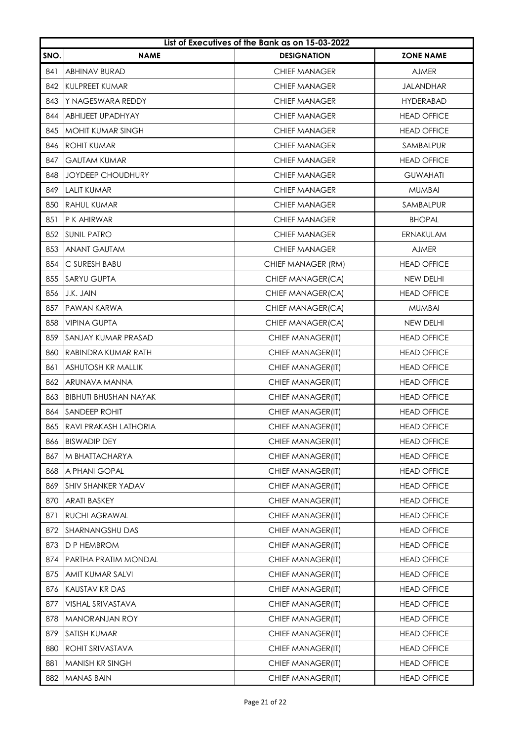|      | List of Executives of the Bank as on 15-03-2022 |                      |                    |  |
|------|-------------------------------------------------|----------------------|--------------------|--|
| SNO. | <b>NAME</b>                                     | <b>DESIGNATION</b>   | <b>ZONE NAME</b>   |  |
| 841  | <b>ABHINAV BURAD</b>                            | <b>CHIEF MANAGER</b> | <b>AJMER</b>       |  |
| 842  | KULPREET KUMAR                                  | <b>CHIEF MANAGER</b> | <b>JALANDHAR</b>   |  |
| 843  | Y NAGESWARA REDDY                               | <b>CHIEF MANAGER</b> | <b>HYDERABAD</b>   |  |
| 844  | ABHIJEET UPADHYAY                               | <b>CHIEF MANAGER</b> | <b>HEAD OFFICE</b> |  |
| 845  | <b>MOHIT KUMAR SINGH</b>                        | <b>CHIEF MANAGER</b> | <b>HEAD OFFICE</b> |  |
| 846  | <b>ROHIT KUMAR</b>                              | <b>CHIEF MANAGER</b> | SAMBALPUR          |  |
| 847  | <b>GAUTAM KUMAR</b>                             | <b>CHIEF MANAGER</b> | <b>HEAD OFFICE</b> |  |
| 848  | <b>JOYDEEP CHOUDHURY</b>                        | <b>CHIEF MANAGER</b> | <b>GUWAHATI</b>    |  |
| 849  | <b>LALIT KUMAR</b>                              | <b>CHIEF MANAGER</b> | <b>MUMBAI</b>      |  |
| 850  | <b>RAHUL KUMAR</b>                              | <b>CHIEF MANAGER</b> | SAMBALPUR          |  |
| 851  | P K AHIRWAR                                     | <b>CHIEF MANAGER</b> | <b>BHOPAL</b>      |  |
| 852  | <b>SUNIL PATRO</b>                              | <b>CHIEF MANAGER</b> | ERNAKULAM          |  |
| 853  | <b>ANANT GAUTAM</b>                             | <b>CHIEF MANAGER</b> | <b>AJMER</b>       |  |
| 854  | C SURESH BABU                                   | CHIEF MANAGER (RM)   | <b>HEAD OFFICE</b> |  |
| 855  | <b>SARYU GUPTA</b>                              | CHIEF MANAGER(CA)    | NEW DELHI          |  |
| 856  | J.K. JAIN                                       | CHIEF MANAGER(CA)    | <b>HEAD OFFICE</b> |  |
| 857  | <b>PAWAN KARWA</b>                              | CHIEF MANAGER(CA)    | <b>MUMBAI</b>      |  |
| 858  | <b>VIPINA GUPTA</b>                             | CHIEF MANAGER(CA)    | NEW DELHI          |  |
| 859  | <b>SANJAY KUMAR PRASAD</b>                      | CHIEF MANAGER(IT)    | <b>HEAD OFFICE</b> |  |
| 860  | RABINDRA KUMAR RATH                             | CHIEF MANAGER(IT)    | <b>HEAD OFFICE</b> |  |
| 861  | <b>ASHUTOSH KR MALLIK</b>                       | CHIEF MANAGER(IT)    | <b>HEAD OFFICE</b> |  |
| 862  | ARUNAVA MANNA                                   | CHIEF MANAGER(IT)    | <b>HEAD OFFICE</b> |  |
| 863  | <b>BIBHUTI BHUSHAN NAYAK</b>                    | CHIEF MANAGER(IT)    | <b>HEAD OFFICE</b> |  |
| 864  | <b>SANDEEP ROHIT</b>                            | CHIEF MANAGER(IT)    | <b>HEAD OFFICE</b> |  |
| 865  | RAVI PRAKASH LATHORIA                           | CHIEF MANAGER(IT)    | <b>HEAD OFFICE</b> |  |
| 866  | <b>BISWADIP DEY</b>                             | CHIEF MANAGER(IT)    | <b>HEAD OFFICE</b> |  |
| 867  | M BHATTACHARYA                                  | CHIEF MANAGER(IT)    | <b>HEAD OFFICE</b> |  |
| 868  | A PHANI GOPAL                                   | CHIEF MANAGER(IT)    | <b>HEAD OFFICE</b> |  |
| 869  | SHIV SHANKER YADAV                              | CHIEF MANAGER(IT)    | <b>HEAD OFFICE</b> |  |
| 870  | ARATI BASKEY                                    | CHIEF MANAGER(IT)    | <b>HEAD OFFICE</b> |  |
| 871  | RUCHI AGRAWAL                                   | CHIEF MANAGER(IT)    | <b>HEAD OFFICE</b> |  |
| 872  | SHARNANGSHU DAS                                 | CHIEF MANAGER(IT)    | <b>HEAD OFFICE</b> |  |
| 873  | D P HEMBROM                                     | CHIEF MANAGER(IT)    | <b>HEAD OFFICE</b> |  |
| 874  | PARTHA PRATIM MONDAL                            | CHIEF MANAGER(IT)    | <b>HEAD OFFICE</b> |  |
| 875  | AMIT KUMAR SALVI                                | CHIEF MANAGER(IT)    | <b>HEAD OFFICE</b> |  |
| 876  | KAUSTAV KR DAS                                  | CHIEF MANAGER(IT)    | <b>HEAD OFFICE</b> |  |
| 877  | VISHAL SRIVASTAVA                               | CHIEF MANAGER(IT)    | <b>HEAD OFFICE</b> |  |
| 878  | MANORANJAN ROY                                  | CHIEF MANAGER(IT)    | <b>HEAD OFFICE</b> |  |
| 879  | SATISH KUMAR                                    | CHIEF MANAGER(IT)    | <b>HEAD OFFICE</b> |  |
| 880  | ROHIT SRIVASTAVA                                | CHIEF MANAGER(IT)    | <b>HEAD OFFICE</b> |  |
| 881  | MANISH KR SINGH                                 | CHIEF MANAGER(IT)    | <b>HEAD OFFICE</b> |  |
| 882  | <b>MANAS BAIN</b>                               | CHIEF MANAGER(IT)    | <b>HEAD OFFICE</b> |  |